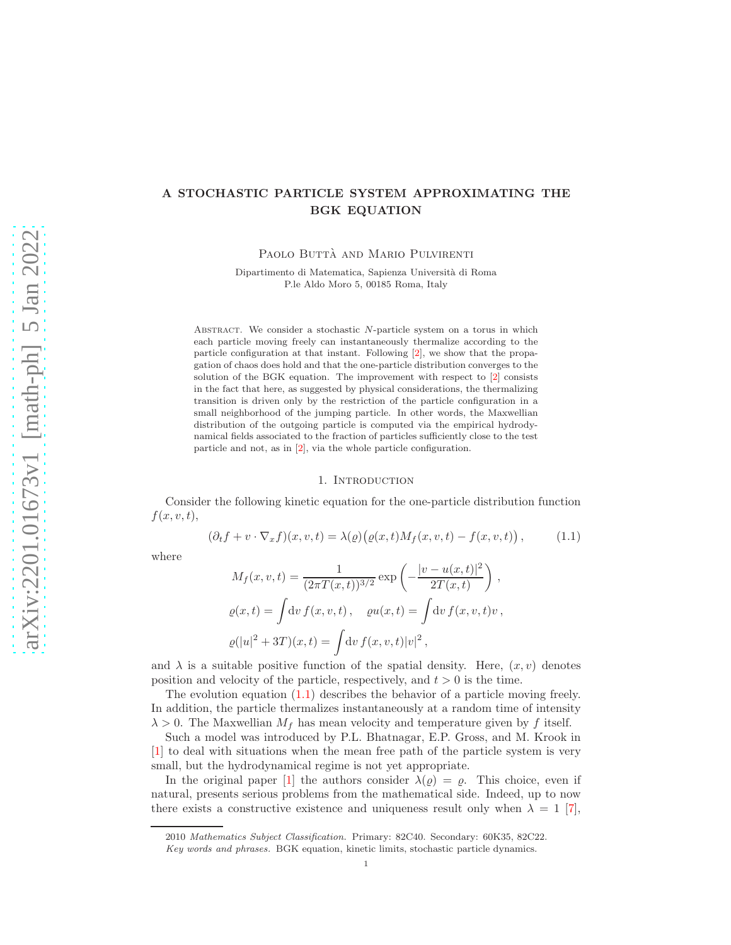# A STOCHASTIC PARTICLE SYSTEM APPROXIMATING THE BGK EQUATION

PAOLO BUTTÀ AND MARIO PULVIRENTI

Dipartimento di Matematica, Sapienza Universit`a di Roma P.le Aldo Moro 5, 00185 Roma, Italy

ABSTRACT. We consider a stochastic  $N$ -particle system on a torus in which each particle moving freely can instantaneously thermalize according to the particle configuration at that instant. Following [\[2\]](#page-24-0), we show that the propagation of chaos does hold and that the one-particle distribution converges to the solution of the BGK equation. The improvement with respect to [\[2\]](#page-24-0) consists in the fact that here, as suggested by physical considerations, the thermalizing transition is driven only by the restriction of the particle configuration in a small neighborhood of the jumping particle. In other words, the Maxwellian distribution of the outgoing particle is computed via the empirical hydrodynamical fields associated to the fraction of particles sufficiently close to the test particle and not, as in [\[2\]](#page-24-0), via the whole particle configuration.

#### 1. INTRODUCTION

Consider the following kinetic equation for the one-particle distribution function  $f(x, v, t),$ 

<span id="page-0-0"></span>
$$
(\partial_t f + v \cdot \nabla_x f)(x, v, t) = \lambda(\varrho) \big( \varrho(x, t) M_f(x, v, t) - f(x, v, t) \big), \tag{1.1}
$$

where

$$
M_f(x, v, t) = \frac{1}{(2\pi T(x, t))^{3/2}} \exp\left(-\frac{|v - u(x, t)|^2}{2T(x, t)}\right),
$$
  

$$
\varrho(x, t) = \int dv f(x, v, t), \quad \varrho u(x, t) = \int dv f(x, v, t)v,
$$
  

$$
\varrho(|u|^2 + 3T)(x, t) = \int dv f(x, v, t)|v|^2,
$$

and  $\lambda$  is a suitable positive function of the spatial density. Here,  $(x, v)$  denotes position and velocity of the particle, respectively, and  $t > 0$  is the time.

The evolution equation  $(1.1)$  describes the behavior of a particle moving freely. In addition, the particle thermalizes instantaneously at a random time of intensity  $\lambda > 0$ . The Maxwellian  $M_f$  has mean velocity and temperature given by f itself.

Such a model was introduced by P.L. Bhatnagar, E.P. Gross, and M. Krook in [\[1\]](#page-24-1) to deal with situations when the mean free path of the particle system is very small, but the hydrodynamical regime is not yet appropriate.

In the original paper [\[1\]](#page-24-1) the authors consider  $\lambda(\varrho) = \varrho$ . This choice, even if natural, presents serious problems from the mathematical side. Indeed, up to now there exists a constructive existence and uniqueness result only when  $\lambda = 1$  [\[7\]](#page-24-2),

<sup>2010</sup> Mathematics Subject Classification. Primary: 82C40. Secondary: 60K35, 82C22.

Key words and phrases. BGK equation, kinetic limits, stochastic particle dynamics.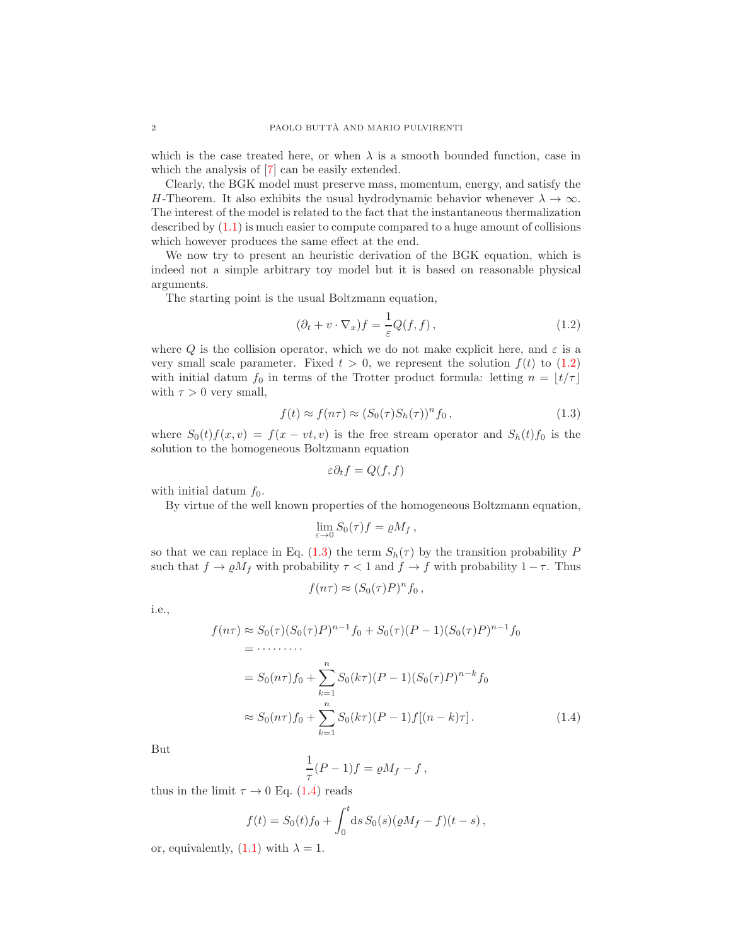which is the case treated here, or when  $\lambda$  is a smooth bounded function, case in which the analysis of [\[7\]](#page-24-2) can be easily extended.

Clearly, the BGK model must preserve mass, momentum, energy, and satisfy the H-Theorem. It also exhibits the usual hydrodynamic behavior whenever  $\lambda \to \infty$ . The interest of the model is related to the fact that the instantaneous thermalization described by [\(1.1\)](#page-0-0) is much easier to compute compared to a huge amount of collisions which however produces the same effect at the end.

We now try to present an heuristic derivation of the BGK equation, which is indeed not a simple arbitrary toy model but it is based on reasonable physical arguments.

The starting point is the usual Boltzmann equation,

<span id="page-1-0"></span>
$$
(\partial_t + v \cdot \nabla_x) f = \frac{1}{\varepsilon} Q(f, f), \qquad (1.2)
$$

where Q is the collision operator, which we do not make explicit here, and  $\varepsilon$  is a very small scale parameter. Fixed  $t > 0$ , we represent the solution  $f(t)$  to  $(1.2)$ with initial datum  $f_0$  in terms of the Trotter product formula: letting  $n = \lfloor t/\tau \rfloor$ with  $\tau > 0$  very small,

<span id="page-1-1"></span>
$$
f(t) \approx f(n\tau) \approx (S_0(\tau)S_h(\tau))^n f_0,
$$
\n(1.3)

where  $S_0(t)f(x, v) = f(x - vt, v)$  is the free stream operator and  $S_h(t)f_0$  is the solution to the homogeneous Boltzmann equation

$$
\varepsilon \partial_t f = Q(f, f)
$$

with initial datum  $f_0$ .

By virtue of the well known properties of the homogeneous Boltzmann equation,

$$
\lim_{\varepsilon \to 0} S_0(\tau) f = \varrho M_f \,,
$$

so that we can replace in Eq. [\(1.3\)](#page-1-1) the term  $S_h(\tau)$  by the transition probability P such that  $f \to \rho M_f$  with probability  $\tau < 1$  and  $f \to f$  with probability  $1 - \tau$ . Thus

$$
f(n\tau) \approx (S_0(\tau)P)^n f_0,
$$

i.e.,

$$
f(n\tau) \approx S_0(\tau)(S_0(\tau)P)^{n-1}f_0 + S_0(\tau)(P-1)(S_0(\tau)P)^{n-1}f_0
$$
  
= \cdots \cdots  
= S\_0(n\tau)f\_0 + \sum\_{k=1}^n S\_0(k\tau)(P-1)(S\_0(\tau)P)^{n-k}f\_0  

$$
\approx S_0(n\tau)f_0 + \sum_{k=1}^n S_0(k\tau)(P-1)f[(n-k)\tau]. \qquad (1.4)
$$

But

<span id="page-1-2"></span>
$$
\frac{1}{\tau}(P-1)f = \varrho M_f - f,
$$

thus in the limit  $\tau \to 0$  Eq. [\(1.4\)](#page-1-2) reads

$$
f(t) = S_0(t)f_0 + \int_0^t ds S_0(s)(\rho M_f - f)(t - s),
$$

or, equivalently,  $(1.1)$  with  $\lambda = 1$ .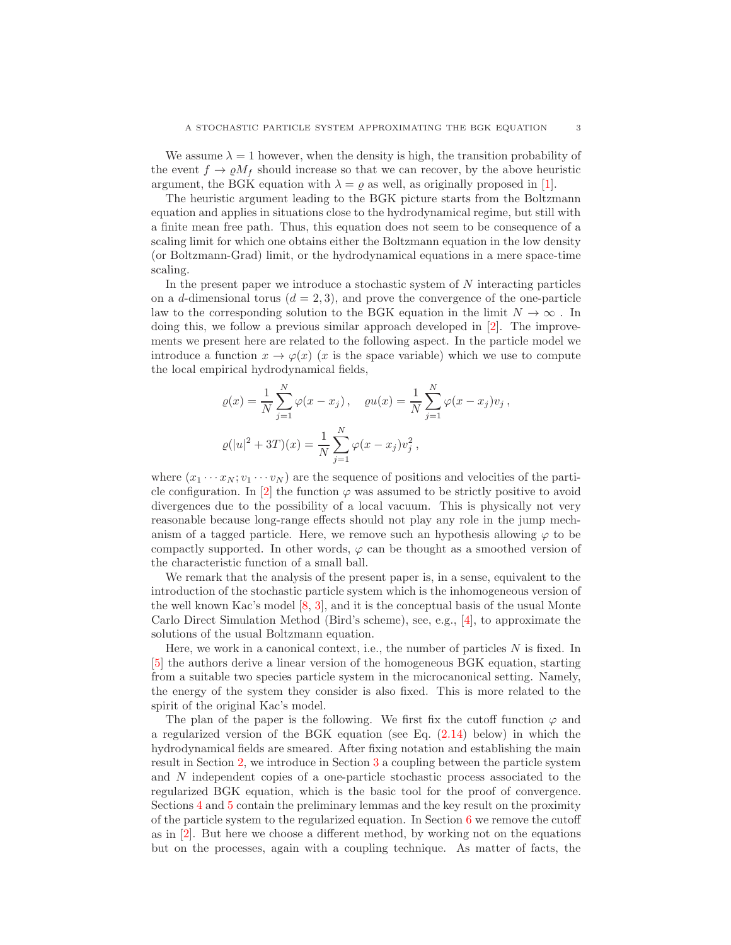We assume  $\lambda = 1$  however, when the density is high, the transition probability of the event  $f \to \rho M_f$  should increase so that we can recover, by the above heuristic argument, the BGK equation with  $\lambda = \varrho$  as well, as originally proposed in [\[1\]](#page-24-1).

The heuristic argument leading to the BGK picture starts from the Boltzmann equation and applies in situations close to the hydrodynamical regime, but still with a finite mean free path. Thus, this equation does not seem to be consequence of a scaling limit for which one obtains either the Boltzmann equation in the low density (or Boltzmann-Grad) limit, or the hydrodynamical equations in a mere space-time scaling.

In the present paper we introduce a stochastic system of  $N$  interacting particles on a d-dimensional torus  $(d = 2, 3)$ , and prove the convergence of the one-particle law to the corresponding solution to the BGK equation in the limit  $N\to\infty$  . In doing this, we follow a previous similar approach developed in [\[2\]](#page-24-0). The improvements we present here are related to the following aspect. In the particle model we introduce a function  $x \to \varphi(x)$  (x is the space variable) which we use to compute the local empirical hydrodynamical fields,

$$
\varrho(x) = \frac{1}{N} \sum_{j=1}^{N} \varphi(x - x_j), \quad \varrho(u(x)) = \frac{1}{N} \sum_{j=1}^{N} \varphi(x - x_j) v_j,
$$
  

$$
\varrho(|u|^2 + 3T)(x) = \frac{1}{N} \sum_{j=1}^{N} \varphi(x - x_j) v_j^2,
$$

where  $(x_1 \cdots x_N; v_1 \cdots v_N)$  are the sequence of positions and velocities of the parti-cle configuration. In [\[2\]](#page-24-0) the function  $\varphi$  was assumed to be strictly positive to avoid divergences due to the possibility of a local vacuum. This is physically not very reasonable because long-range effects should not play any role in the jump mechanism of a tagged particle. Here, we remove such an hypothesis allowing  $\varphi$  to be compactly supported. In other words,  $\varphi$  can be thought as a smoothed version of the characteristic function of a small ball.

We remark that the analysis of the present paper is, in a sense, equivalent to the introduction of the stochastic particle system which is the inhomogeneous version of the well known Kac's model [\[8,](#page-24-3) [3\]](#page-24-4), and it is the conceptual basis of the usual Monte Carlo Direct Simulation Method (Bird's scheme), see, e.g., [\[4\]](#page-24-5), to approximate the solutions of the usual Boltzmann equation.

Here, we work in a canonical context, i.e., the number of particles  $N$  is fixed. In [\[5\]](#page-24-6) the authors derive a linear version of the homogeneous BGK equation, starting from a suitable two species particle system in the microcanonical setting. Namely, the energy of the system they consider is also fixed. This is more related to the spirit of the original Kac's model.

The plan of the paper is the following. We first fix the cutoff function  $\varphi$  and a regularized version of the BGK equation (see Eq. [\(2.14\)](#page-5-0) below) in which the hydrodynamical fields are smeared. After fixing notation and establishing the main result in Section [2,](#page-3-0) we introduce in Section [3](#page-7-0) a coupling between the particle system and N independent copies of a one-particle stochastic process associated to the regularized BGK equation, which is the basic tool for the proof of convergence. Sections [4](#page-10-0) and [5](#page-12-0) contain the preliminary lemmas and the key result on the proximity of the particle system to the regularized equation. In Section [6](#page-19-0) we remove the cutoff as in [\[2\]](#page-24-0). But here we choose a different method, by working not on the equations but on the processes, again with a coupling technique. As matter of facts, the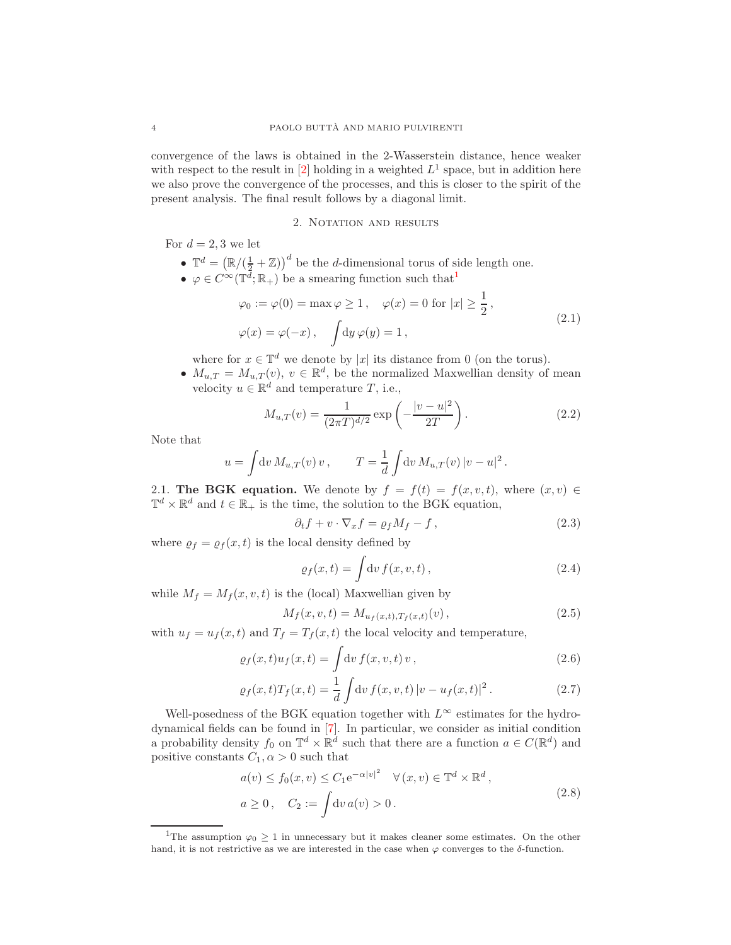convergence of the laws is obtained in the 2-Wasserstein distance, hence weaker with respect to the result in  $[2]$  holding in a weighted  $L^1$  space, but in addition here we also prove the convergence of the processes, and this is closer to the spirit of the present analysis. The final result follows by a diagonal limit.

### 2. NOTATION AND RESULTS

<span id="page-3-0"></span>For  $d = 2, 3$  we let

- $\mathbb{T}^d = (\mathbb{R}/(\frac{1}{2} + \mathbb{Z}))^d$  be the *d*-dimensional torus of side length one.
- <span id="page-3-4"></span>•  $\varphi \in C^{\infty}(\mathbb{T}^{\overline{d}};\mathbb{R}_{+})$  be a smearing function such that<sup>[1](#page-3-1)</sup>

$$
\varphi_0 := \varphi(0) = \max \varphi \ge 1, \quad \varphi(x) = 0 \text{ for } |x| \ge \frac{1}{2},
$$
  

$$
\varphi(x) = \varphi(-x), \quad \int dy \,\varphi(y) = 1,
$$
 (2.1)

where for  $x \in \mathbb{T}^d$  we denote by |x| its distance from 0 (on the torus).

•  $M_{u,T} = M_{u,T}(v)$ ,  $v \in \mathbb{R}^d$ , be the normalized Maxwellian density of mean velocity  $u \in \mathbb{R}^d$  and temperature T, i.e.,

$$
M_{u,T}(v) = \frac{1}{(2\pi T)^{d/2}} \exp\left(-\frac{|v - u|^2}{2T}\right).
$$
 (2.2)

Note that

$$
u = \int dv M_{u,T}(v) v
$$
,  $T = \frac{1}{d} \int dv M_{u,T}(v) |v - u|^2$ .

2.1. The BGK equation. We denote by  $f = f(t) = f(x, v, t)$ , where  $(x, v) \in$  $\mathbb{T}^d \times \mathbb{R}^d$  and  $t \in \mathbb{R}_+$  is the time, the solution to the BGK equation,

<span id="page-3-2"></span>
$$
\partial_t f + v \cdot \nabla_x f = \varrho_f M_f - f \,, \tag{2.3}
$$

where  $\rho_f = \rho_f(x, t)$  is the local density defined by

$$
\varrho_f(x,t) = \int \mathrm{d}v \, f(x,v,t) \,, \tag{2.4}
$$

while  $M_f = M_f(x, v, t)$  is the (local) Maxwellian given by

$$
M_f(x, v, t) = M_{u_f(x, t), T_f(x, t)}(v), \qquad (2.5)
$$

with  $u_f = u_f(x, t)$  and  $T_f = T_f(x, t)$  the local velocity and temperature,

$$
\varrho_f(x,t)u_f(x,t) = \int dv f(x,v,t) v,
$$
\n(2.6)

$$
\varrho_f(x,t)T_f(x,t) = \frac{1}{d} \int dv f(x,v,t) |v - u_f(x,t)|^2.
$$
 (2.7)

Well-posedness of the BGK equation together with  $L^{\infty}$  estimates for the hydrodynamical fields can be found in [\[7\]](#page-24-2). In particular, we consider as initial condition a probability density  $f_0$  on  $\mathbb{T}^d \times \mathbb{R}^d$  such that there are a function  $a \in C(\mathbb{R}^d)$  and positive constants  $C_1, \alpha > 0$  such that

$$
a(v) \le f_0(x, v) \le C_1 e^{-\alpha |v|^2} \quad \forall (x, v) \in \mathbb{T}^d \times \mathbb{R}^d,
$$
  
\n
$$
a \ge 0, \quad C_2 := \int dv \, a(v) > 0.
$$
\n
$$
(2.8)
$$

<span id="page-3-3"></span><span id="page-3-1"></span><sup>&</sup>lt;sup>1</sup>The assumption  $\varphi_0 \geq 1$  in unnecessary but it makes cleaner some estimates. On the other hand, it is not restrictive as we are interested in the case when  $\varphi$  converges to the  $\delta$ -function.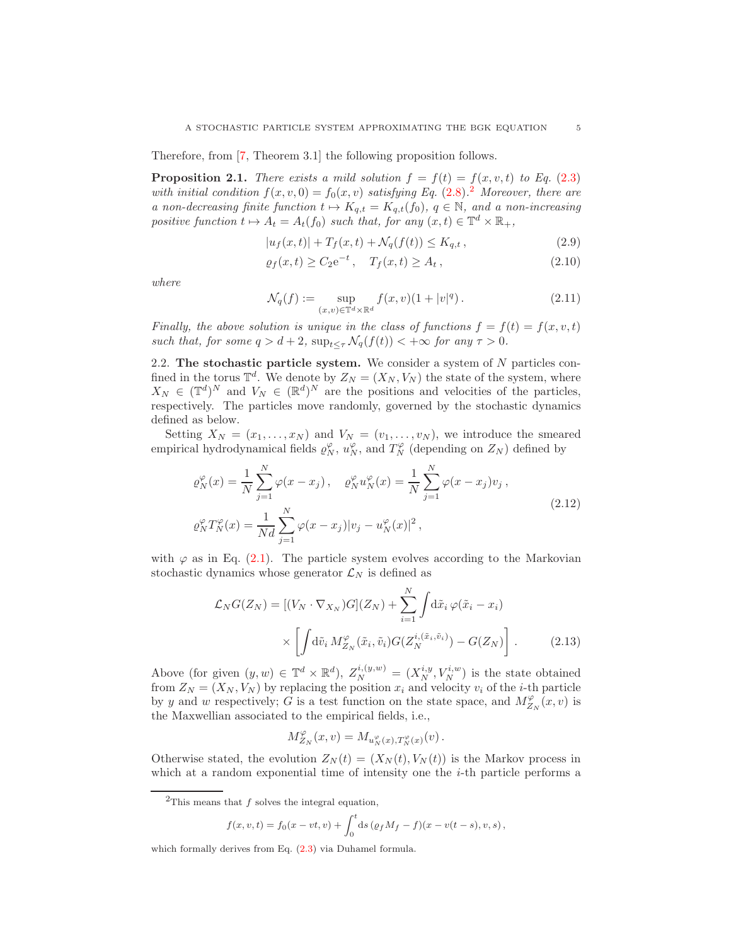Therefore, from [\[7,](#page-24-2) Theorem 3.1] the following proposition follows.

<span id="page-4-3"></span>**Proposition 2.1.** There exists a mild solution  $f = f(t) = f(x, v, t)$  to Eq. [\(2.3\)](#page-3-2) with initial condition  $f(x, v, 0) = f_0(x, v)$  satisfying Eq. [\(2.8\)](#page-3-3).<sup>[2](#page-4-0)</sup> Moreover, there are a non-decreasing finite function  $t \mapsto K_{q,t} = K_{q,t}(f_0), q \in \mathbb{N}$ , and a non-increasing positive function  $t \mapsto A_t = A_t(f_0)$  such that, for any  $(x, t) \in \mathbb{T}^d \times \mathbb{R}_+$ ,

<span id="page-4-5"></span>
$$
|u_f(x,t)| + T_f(x,t) + \mathcal{N}_q(f(t)) \le K_{q,t}, \qquad (2.9)
$$

$$
\varrho_f(x,t) \ge C_2 e^{-t}, \quad T_f(x,t) \ge A_t,
$$
\n(2.10)

where

$$
\mathcal{N}_q(f) := \sup_{(x,v) \in \mathbb{T}^d \times \mathbb{R}^d} f(x,v)(1+|v|^q). \tag{2.11}
$$

Finally, the above solution is unique in the class of functions  $f = f(t) = f(x, v, t)$ such that, for some  $q > d + 2$ ,  $\sup_{t \leq \tau} \mathcal{N}_q(f(t)) < +\infty$  for any  $\tau > 0$ .

<span id="page-4-2"></span>2.2. The stochastic particle system. We consider a system of  $N$  particles confined in the torus  $\mathbb{T}^d$ . We denote by  $Z_N = (X_N, V_N)$  the state of the system, where  $X_N \in (\mathbb{T}^d)^N$  and  $V_N \in (\mathbb{R}^d)^N$  are the positions and velocities of the particles, respectively. The particles move randomly, governed by the stochastic dynamics defined as below.

Setting  $X_N = (x_1, \ldots, x_N)$  and  $V_N = (v_1, \ldots, v_N)$ , we introduce the smeared empirical hydrodynamical fields  $\varrho_N^{\varphi}$ ,  $u_N^{\varphi}$ , and  $T_N^{\varphi}$  (depending on  $Z_N$ ) defined by

<span id="page-4-4"></span>
$$
\varrho_N^{\varphi}(x) = \frac{1}{N} \sum_{j=1}^{N} \varphi(x - x_j), \quad \varrho_N^{\varphi} u_N^{\varphi}(x) = \frac{1}{N} \sum_{j=1}^{N} \varphi(x - x_j) v_j,
$$
\n
$$
\varrho_N^{\varphi} T_N^{\varphi}(x) = \frac{1}{N d} \sum_{j=1}^{N} \varphi(x - x_j) |v_j - u_N^{\varphi}(x)|^2,
$$
\n(2.12)

with  $\varphi$  as in Eq. [\(2.1\)](#page-3-4). The particle system evolves according to the Markovian stochastic dynamics whose generator  $\mathcal{L}_N$  is defined as

$$
\mathcal{L}_N G(Z_N) = \left[ (V_N \cdot \nabla_{X_N}) G \right](Z_N) + \sum_{i=1}^N \int \mathrm{d}\tilde{x}_i \, \varphi(\tilde{x}_i - x_i)
$$

$$
\times \left[ \int \mathrm{d}\tilde{v}_i \, M_{Z_N}^{\varphi}(\tilde{x}_i, \tilde{v}_i) G(Z_N^{i, (\tilde{x}_i, \tilde{v}_i)}) - G(Z_N) \right]. \tag{2.13}
$$

Above (for given  $(y, w) \in \mathbb{T}^d \times \mathbb{R}^d$ ),  $Z_N^{i,(y,w)} = (X_N^{i,y}, V_N^{i,w})$  is the state obtained from  $Z_N = (X_N, V_N)$  by replacing the position  $x_i$  and velocity  $v_i$  of the *i*-th particle by y and w respectively; G is a test function on the state space, and  $M_{Z_N}^{\varphi}(x, v)$  is the Maxwellian associated to the empirical fields, i.e.,

<span id="page-4-1"></span>
$$
M_{Z_N}^{\varphi}(x,v) = M_{u_N^{\varphi}(x),T_N^{\varphi}(x)}(v).
$$

Otherwise stated, the evolution  $Z_N(t) = (X_N(t), V_N(t))$  is the Markov process in which at a random exponential time of intensity one the  $i$ -th particle performs a

$$
f(x, v, t) = f_0(x - vt, v) + \int_0^t ds \, (\varrho_f M_f - f)(x - v(t - s), v, s) \,,
$$

which formally derives from Eq. [\(2.3\)](#page-3-2) via Duhamel formula.

<span id="page-4-0"></span><sup>&</sup>lt;sup>2</sup>This means that  $f$  solves the integral equation,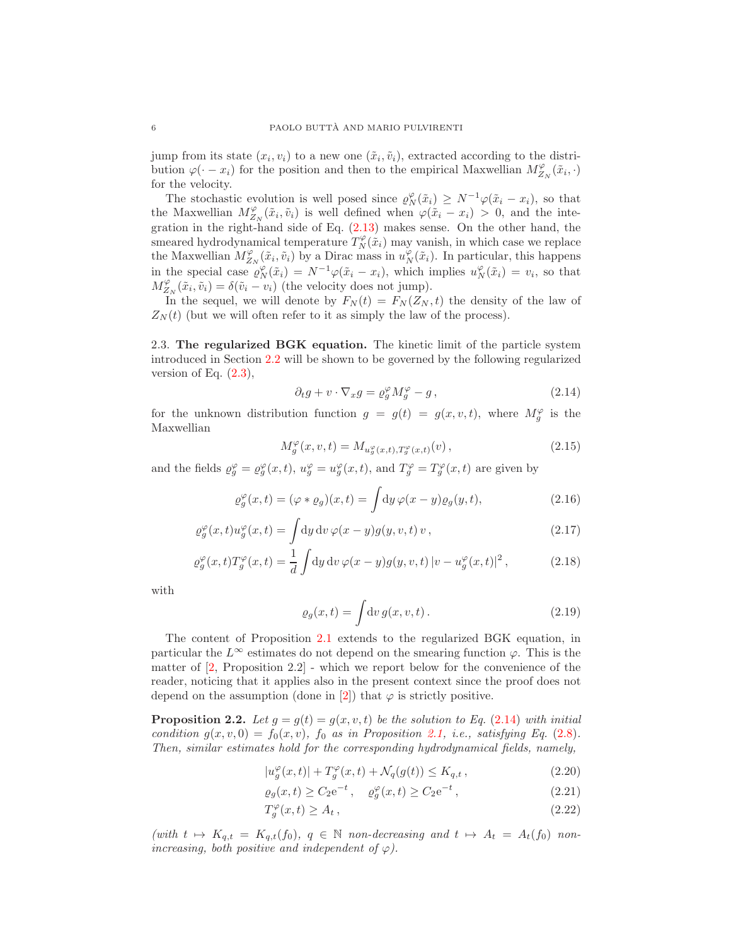jump from its state  $(x_i, v_i)$  to a new one  $(\tilde{x}_i, \tilde{v}_i)$ , extracted according to the distribution  $\varphi(\cdot - x_i)$  for the position and then to the empirical Maxwellian  $M_{Z_N}^{\varphi}(\tilde{x}_i, \cdot)$ for the velocity.

The stochastic evolution is well posed since  $\varrho_N^{\varphi}(\tilde{x}_i) \geq N^{-1} \varphi(\tilde{x}_i - x_i)$ , so that the Maxwellian  $M_{Z_N}^{\varphi}(\tilde{x}_i, \tilde{v}_i)$  is well defined when  $\varphi(\tilde{x}_i - x_i) > 0$ , and the integration in the right-hand side of Eq.  $(2.13)$  makes sense. On the other hand, the smeared hydrodynamical temperature  $T_N^{\varphi}(\tilde{x}_i)$  may vanish, in which case we replace the Maxwellian  $M_{Z_N}^{\varphi}(\tilde{x}_i, \tilde{v}_i)$  by a Dirac mass in  $u_N^{\varphi}(\tilde{x}_i)$ . In particular, this happens in the special case  $\varrho_N^{\varphi}(\tilde{x}_i) = N^{-1}\varphi(\tilde{x}_i - x_i)$ , which implies  $u_N^{\varphi}(\tilde{x}_i) = v_i$ , so that  $M_{Z_N}^{\varphi}(\tilde{x}_i, \tilde{v}_i) = \delta(\tilde{v}_i - v_i)$  (the velocity does not jump).

In the sequel, we will denote by  $F_N(t) = F_N(Z_N, t)$  the density of the law of  $Z_N(t)$  (but we will often refer to it as simply the law of the process).

2.3. The regularized BGK equation. The kinetic limit of the particle system introduced in Section [2.2](#page-4-2) will be shown to be governed by the following regularized version of Eq.  $(2.3)$ ,

<span id="page-5-0"></span>
$$
\partial_t g + v \cdot \nabla_x g = \varrho_g^{\varphi} M_g^{\varphi} - g \,, \tag{2.14}
$$

for the unknown distribution function  $g = g(t) = g(x, v, t)$ , where  $M_g^{\varphi}$  is the Maxwellian

<span id="page-5-2"></span>
$$
M_g^{\varphi}(x, v, t) = M_{u_g^{\varphi}(x, t), T_g^{\varphi}(x, t)}(v), \qquad (2.15)
$$

and the fields  $\varrho_g^{\varphi} = \varrho_g^{\varphi}(x,t), u_g^{\varphi} = u_g^{\varphi}(x,t),$  and  $T_g^{\varphi} = T_g^{\varphi}(x,t)$  are given by

$$
\varrho_g^{\varphi}(x,t) = (\varphi * \varrho_g)(x,t) = \int \mathrm{d}y \,\varphi(x-y)\varrho_g(y,t),\tag{2.16}
$$

$$
\varrho_g^{\varphi}(x,t)u_g^{\varphi}(x,t) = \int \mathrm{d}y \,\mathrm{d}v \,\varphi(x-y)g(y,v,t) \,v , \qquad (2.17)
$$

$$
\varrho_g^{\varphi}(x,t)T_g^{\varphi}(x,t) = \frac{1}{d} \int \mathrm{d}y \, \mathrm{d}v \, \varphi(x-y)g(y,v,t) \, |v - u_g^{\varphi}(x,t)|^2 \,,\tag{2.18}
$$

with

$$
\varrho_g(x,t) = \int \mathrm{d}v \, g(x,v,t) \,. \tag{2.19}
$$

The content of Proposition [2.1](#page-4-3) extends to the regularized BGK equation, in particular the  $L^{\infty}$  estimates do not depend on the smearing function  $\varphi$ . This is the matter of  $[2,$  Proposition 2.2 - which we report below for the convenience of the reader, noticing that it applies also in the present context since the proof does not depend on the assumption (done in [\[2\]](#page-24-0)) that  $\varphi$  is strictly positive.

<span id="page-5-1"></span>**Proposition 2.2.** Let  $g = g(t) = g(x, v, t)$  be the solution to Eq. [\(2.14\)](#page-5-0) with initial condition  $g(x, v, 0) = f_0(x, v)$ ,  $f_0$  as in Proposition [2.1,](#page-4-3) i.e., satisfying Eq. [\(2.8\)](#page-3-3). Then, similar estimates hold for the corresponding hydrodynamical fields, namely,

<span id="page-5-4"></span>
$$
|u_g^{\varphi}(x,t)| + T_g^{\varphi}(x,t) + \mathcal{N}_q(g(t)) \le K_{q,t}, \qquad (2.20)
$$

<span id="page-5-3"></span>
$$
\varrho_g(x,t) \ge C_2 e^{-t}, \quad \varrho_g^{\varphi}(x,t) \ge C_2 e^{-t}, \tag{2.21}
$$

<span id="page-5-5"></span>
$$
T_g^{\varphi}(x,t) \ge A_t \,, \tag{2.22}
$$

(with  $t \mapsto K_{q,t} = K_{q,t}(f_0), q \in \mathbb{N}$  non-decreasing and  $t \mapsto A_t = A_t(f_0)$  nonincreasing, both positive and independent of  $\varphi$ ).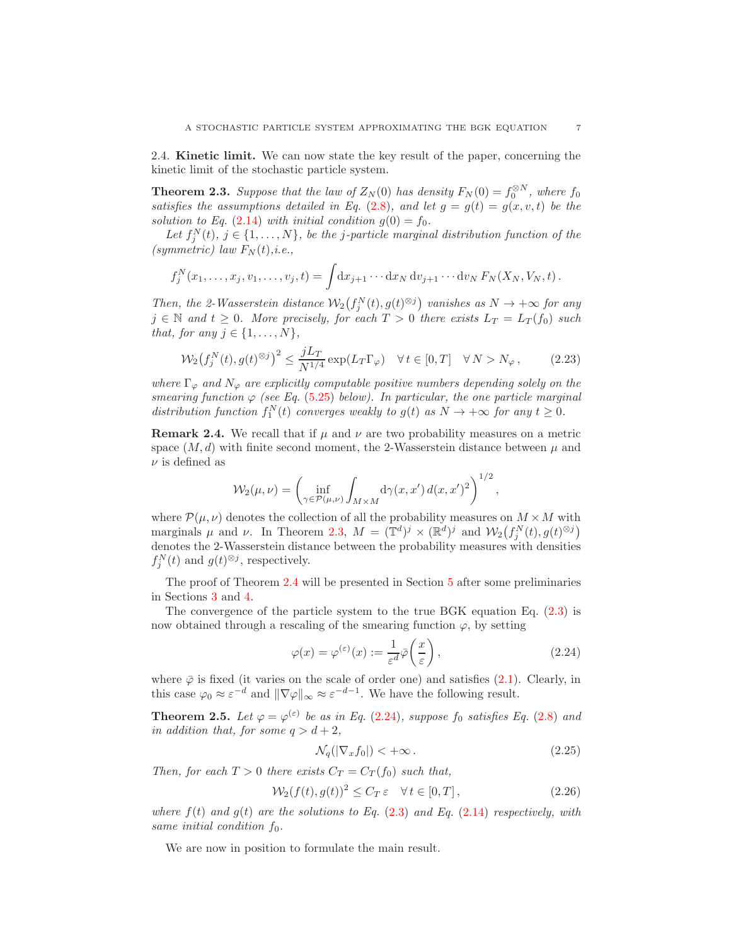2.4. Kinetic limit. We can now state the key result of the paper, concerning the kinetic limit of the stochastic particle system.

<span id="page-6-0"></span>**Theorem 2.3.** Suppose that the law of  $Z_N(0)$  has density  $F_N(0) = f_0^{\otimes N}$ , where  $f_0$ satisfies the assumptions detailed in Eq. [\(2.8\)](#page-3-3), and let  $g = g(t) = g(x, v, t)$  be the solution to Eq. [\(2.14\)](#page-5-0) with initial condition  $g(0) = f_0$ .

Let  $f_j^N(t)$ ,  $j \in \{1, ..., N\}$ , be the j-particle marginal distribution function of the (symmetric) law  $F_N(t)$ , i.e.,

$$
f_j^N(x_1,\ldots,x_j,v_1,\ldots,v_j,t)=\int\!dx_{j+1}\cdots dx_N\,dv_{j+1}\cdots dv_N\,F_N(X_N,V_N,t)\,.
$$

Then, the 2-Wasserstein distance  $\mathcal{W}_2(f_j^N(t), g(t)^{\otimes j})$  vanishes as  $N \to +\infty$  for any  $j \in \mathbb{N}$  and  $t \geq 0$ . More precisely, for each  $T > 0$  there exists  $L_T = L_T(f_0)$  such that, for any  $j \in \{1, \ldots, N\},\$ 

<span id="page-6-4"></span>
$$
\mathcal{W}_2(f_j^N(t), g(t)^{\otimes j})^2 \le \frac{jL_T}{N^{1/4}} \exp(L_T \Gamma_\varphi) \quad \forall \, t \in [0, T] \quad \forall \, N > N_\varphi \,,\tag{2.23}
$$

where  $\Gamma_{\varphi}$  and  $N_{\varphi}$  are explicitly computable positive numbers depending solely on the smearing function  $\varphi$  (see Eq. [\(5.25\)](#page-19-1) below). In particular, the one particle marginal distribution function  $f_1^N(t)$  converges weakly to  $g(t)$  as  $N \to +\infty$  for any  $t \geq 0$ .

<span id="page-6-1"></span>**Remark 2.4.** We recall that if  $\mu$  and  $\nu$  are two probability measures on a metric space  $(M, d)$  with finite second moment, the 2-Wasserstein distance between  $\mu$  and  $\nu$  is defined as

$$
\mathcal{W}_2(\mu,\nu) = \left(\inf_{\gamma \in \mathcal{P}(\mu,\nu)} \int_{M \times M} d\gamma(x,x') d(x,x')^2\right)^{1/2}
$$

where  $\mathcal{P}(\mu,\nu)$  denotes the collection of all the probability measures on  $M \times M$  with marginals  $\mu$  and  $\nu$ . In Theorem [2.3,](#page-6-0)  $M = (\mathbb{T}^d)^j \times (\mathbb{R}^d)^j$  and  $\mathcal{W}_2(f_j^N(t), g(t)^{\otimes j})$ denotes the 2-Wasserstein distance between the probability measures with densities  $f_j^N(t)$  and  $g(t)^{\otimes j}$ , respectively.

The proof of Theorem [2.4](#page-6-1) will be presented in Section [5](#page-12-0) after some preliminaries in Sections [3](#page-7-0) and [4.](#page-10-0)

The convergence of the particle system to the true BGK equation Eq.  $(2.3)$  is now obtained through a rescaling of the smearing function  $\varphi$ , by setting

<span id="page-6-2"></span>
$$
\varphi(x) = \varphi^{(\varepsilon)}(x) := \frac{1}{\varepsilon^d} \overline{\varphi}\left(\frac{x}{\varepsilon}\right),\tag{2.24}
$$

,

where  $\bar{\varphi}$  is fixed (it varies on the scale of order one) and satisfies [\(2.1\)](#page-3-4). Clearly, in this case  $\varphi_0 \approx \varepsilon^{-d}$  and  $\|\nabla \varphi\|_{\infty} \approx \varepsilon^{-d-1}$ . We have the following result.

<span id="page-6-3"></span>**Theorem 2.5.** Let  $\varphi = \varphi^{(\varepsilon)}$  be as in Eq. [\(2.24\)](#page-6-2), suppose  $f_0$  satisfies Eq. [\(2.8\)](#page-3-3) and in addition that, for some  $q > d + 2$ ,

<span id="page-6-5"></span>
$$
\mathcal{N}_q(|\nabla_x f_0|) < +\infty. \tag{2.25}
$$

Then, for each  $T > 0$  there exists  $C_T = C_T(f_0)$  such that,

<span id="page-6-6"></span>
$$
\mathcal{W}_2(f(t), g(t))^2 \le C_T \,\varepsilon \quad \forall \, t \in [0, T] \,, \tag{2.26}
$$

where  $f(t)$  and  $g(t)$  are the solutions to Eq. [\(2.3\)](#page-3-2) and Eq. [\(2.14\)](#page-5-0) respectively, with same initial condition  $f_0$ .

We are now in position to formulate the main result.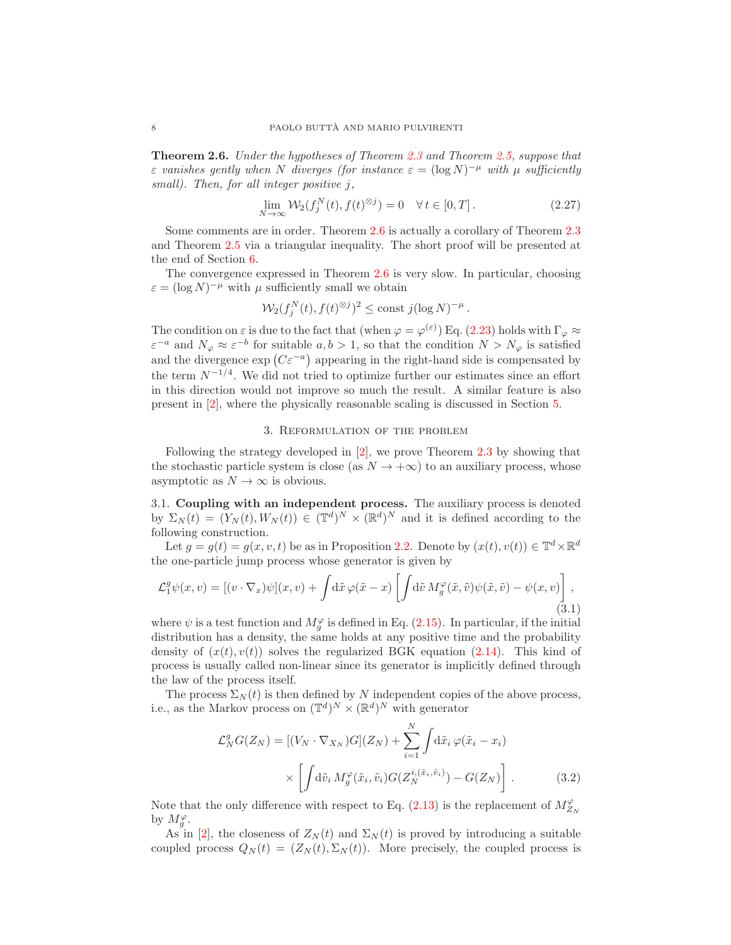<span id="page-7-1"></span>Theorem 2.6. Under the hypotheses of Theorem [2.3](#page-6-0) and Theorem [2.5,](#page-6-3) suppose that  $\varepsilon$  vanishes gently when N diverges (for instance  $\varepsilon = (\log N)^{-\mu}$  with  $\mu$  sufficiently small). Then, for all integer positive j,

<span id="page-7-4"></span>
$$
\lim_{N \to \infty} \mathcal{W}_2(f_j^N(t), f(t)^{\otimes j}) = 0 \quad \forall \, t \in [0, T]. \tag{2.27}
$$

Some comments are in order. Theorem [2.6](#page-7-1) is actually a corollary of Theorem [2.3](#page-6-0) and Theorem [2.5](#page-6-3) via a triangular inequality. The short proof will be presented at the end of Section [6.](#page-19-0)

The convergence expressed in Theorem [2.6](#page-7-1) is very slow. In particular, choosing  $\varepsilon = (\log N)^{-\mu}$  with  $\mu$  sufficiently small we obtain

$$
\mathcal{W}_2(f_j^N(t), f(t)^{\otimes j})^2 \le \text{const } j(\log N)^{-\mu}.
$$

The condition on  $\varepsilon$  is due to the fact that (when  $\varphi = \varphi^{(\varepsilon)}$ ) Eq. [\(2.23\)](#page-6-4) holds with  $\Gamma_{\varphi} \approx$  $\varepsilon^{-a}$  and  $N_{\varphi} \approx \varepsilon^{-b}$  for suitable  $a, b > 1$ , so that the condition  $N > N_{\varphi}$  is satisfied and the divergence  $\exp(C\varepsilon^{-a})$  appearing in the right-hand side is compensated by the term  $N^{-1/4}$ . We did not tried to optimize further our estimates since an effort in this direction would not improve so much the result. A similar feature is also present in [\[2\]](#page-24-0), where the physically reasonable scaling is discussed in Section [5.](#page-12-0)

### 3. Reformulation of the problem

<span id="page-7-0"></span>Following the strategy developed in  $\vert 2\vert$ , we prove Theorem [2.3](#page-6-0) by showing that the stochastic particle system is close (as  $N \to +\infty$ ) to an auxiliary process, whose asymptotic as  $N \to \infty$  is obvious.

<span id="page-7-3"></span>3.1. Coupling with an independent process. The auxiliary process is denoted by  $\Sigma_N(t) = (Y_N(t), W_N(t)) \in (\mathbb{T}^d)^N \times (\mathbb{R}^d)^N$  and it is defined according to the following construction.

Let  $g = g(t) = g(x, v, t)$  be as in Proposition [2.2.](#page-5-1) Denote by  $(x(t), v(t)) \in \mathbb{T}^d \times \mathbb{R}^d$ the one-particle jump process whose generator is given by

<span id="page-7-2"></span>
$$
\mathcal{L}_1^g \psi(x, v) = [(v \cdot \nabla_x) \psi](x, v) + \int d\tilde{x} \varphi(\tilde{x} - x) \left[ \int d\tilde{v} \, M_g^{\varphi}(\tilde{x}, \tilde{v}) \psi(\tilde{x}, \tilde{v}) - \psi(x, v) \right],
$$
\n(3.1)

where  $\psi$  is a test function and  $M_g^{\varphi}$  is defined in Eq. [\(2.15\)](#page-5-2). In particular, if the initial distribution has a density, the same holds at any positive time and the probability density of  $(x(t), y(t))$  solves the regularized BGK equation [\(2.14\)](#page-5-0). This kind of process is usually called non-linear since its generator is implicitly defined through the law of the process itself.

The process  $\Sigma_N(t)$  is then defined by N independent copies of the above process, i.e., as the Markov process on  $(\mathbb{T}^d)^N \times (\mathbb{R}^d)^N$  with generator

$$
\mathcal{L}_N^g G(Z_N) = \left[ (V_N \cdot \nabla_{X_N}) G \right](Z_N) + \sum_{i=1}^N \int \mathrm{d}\tilde{x}_i \, \varphi(\tilde{x}_i - x_i)
$$

$$
\times \left[ \int \mathrm{d}\tilde{v}_i \, M_g^{\varphi}(\tilde{x}_i, \tilde{v}_i) G(Z_N^{i, (\tilde{x}_i, \tilde{v}_i)}) - G(Z_N) \right]. \tag{3.2}
$$

Note that the only difference with respect to Eq. [\(2.13\)](#page-4-1) is the replacement of  $M_{Z_N}^{\varphi}$ by  $M_g^{\varphi}$ .

As in [\[2\]](#page-24-0), the closeness of  $Z_N(t)$  and  $\Sigma_N(t)$  is proved by introducing a suitable coupled process  $Q_N(t) = (Z_N(t), \Sigma_N(t))$ . More precisely, the coupled process is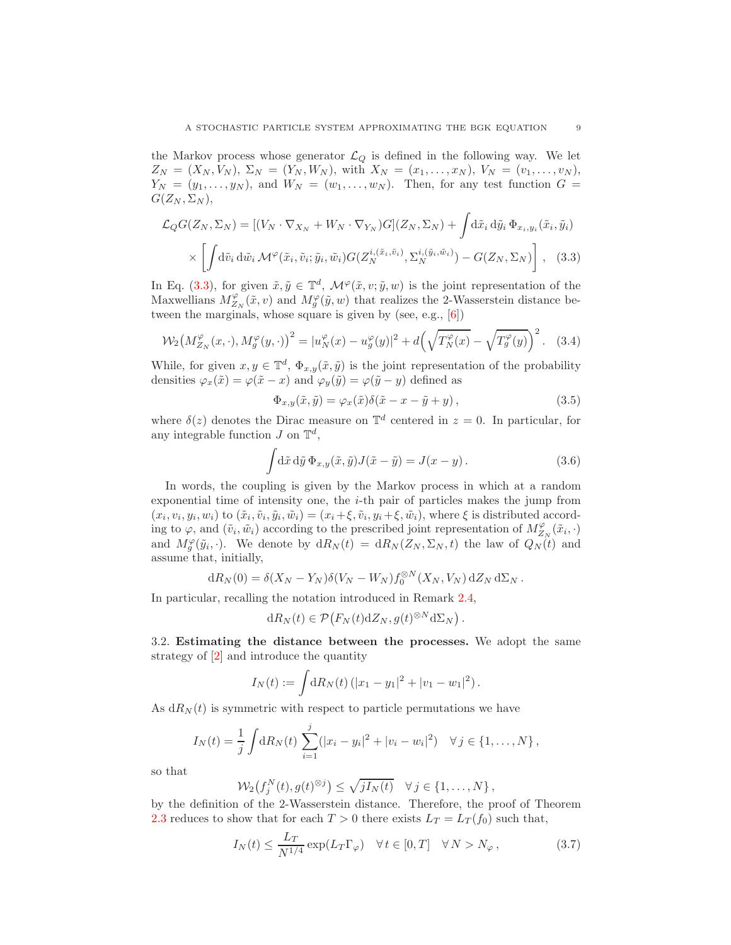the Markov process whose generator  $\mathcal{L}_Q$  is defined in the following way. We let  $Z_N = (X_N, V_N), \Sigma_N = (Y_N, W_N),$  with  $X_N = (x_1, \ldots, x_N), V_N = (v_1, \ldots, v_N),$  $Y_N = (y_1, \ldots, y_N)$ , and  $W_N = (w_1, \ldots, w_N)$ . Then, for any test function  $G =$  $G(Z_N,\Sigma_N),$ 

$$
\mathcal{L}_{Q}G(Z_{N}, \Sigma_{N}) = [(V_{N} \cdot \nabla_{X_{N}} + W_{N} \cdot \nabla_{Y_{N}})G](Z_{N}, \Sigma_{N}) + \int d\tilde{x}_{i} d\tilde{y}_{i} \Phi_{x_{i}, y_{i}}(\tilde{x}_{i}, \tilde{y}_{i})
$$

$$
\times \left[ \int d\tilde{v}_{i} d\tilde{w}_{i} \mathcal{M}^{\varphi}(\tilde{x}_{i}, \tilde{v}_{i}; \tilde{y}_{i}, \tilde{w}_{i}) G(Z_{N}^{i, (\tilde{x}_{i}, \tilde{v}_{i})}, \Sigma_{N}^{i, (\tilde{y}_{i}, \tilde{w}_{i})}) - G(Z_{N}, \Sigma_{N}) \right], \quad (3.3)
$$

In Eq. [\(3.3\)](#page-8-0), for given  $\tilde{x}, \tilde{y} \in \mathbb{T}^d$ ,  $\mathcal{M}^{\varphi}(\tilde{x}, v; \tilde{y}, w)$  is the joint representation of the Maxwellians  $M_{Z_N}^{\varphi}(\tilde{x},v)$  and  $M_g^{\varphi}(\tilde{y},w)$  that realizes the 2-Wasserstein distance between the marginals, whose square is given by (see, e.g., [\[6\]](#page-24-7))

<span id="page-8-1"></span>
$$
\mathcal{W}_2\big(M_{Z_N}^{\varphi}(x,\cdot), M_g^{\varphi}(y,\cdot)\big)^2 = |u_N^{\varphi}(x) - u_g^{\varphi}(y)|^2 + d\Big(\sqrt{T_N^{\varphi}(x)} - \sqrt{T_g^{\varphi}(y)}\Big)^2. \tag{3.4}
$$

While, for given  $x, y \in \mathbb{T}^d$ ,  $\Phi_{x,y}(\tilde{x}, \tilde{y})$  is the joint representation of the probability densities  $\varphi_x(\tilde{x}) = \varphi(\tilde{x} - x)$  and  $\varphi_y(\tilde{y}) = \varphi(\tilde{y} - y)$  defined as

<span id="page-8-0"></span>
$$
\Phi_{x,y}(\tilde{x},\tilde{y}) = \varphi_x(\tilde{x})\delta(\tilde{x} - x - \tilde{y} + y), \qquad (3.5)
$$

where  $\delta(z)$  denotes the Dirac measure on  $\mathbb{T}^d$  centered in  $z = 0$ . In particular, for any integrable function  $J$  on  $\mathbb{T}^d$ ,

$$
\int d\tilde{x} d\tilde{y} \Phi_{x,y}(\tilde{x}, \tilde{y}) J(\tilde{x} - \tilde{y}) = J(x - y).
$$
 (3.6)

In words, the coupling is given by the Markov process in which at a random exponential time of intensity one, the  $i$ -th pair of particles makes the jump from  $(x_i, v_i, y_i, w_i)$  to  $(\tilde{x}_i, \tilde{v}_i, \tilde{y}_i, \tilde{w}_i) = (x_i + \xi, \tilde{v}_i, y_i + \xi, \tilde{w}_i)$ , where  $\xi$  is distributed according to  $\varphi$ , and  $(\tilde{v}_i, \tilde{w}_i)$  according to the prescribed joint representation of  $M_{Z_N}^{\varphi}(\tilde{x}_i, \cdot)$ and  $M_g^{\varphi}(\tilde{y}_i, \cdot)$ . We denote by  $dR_N(t) = dR_N(Z_N, \Sigma_N, t)$  the law of  $Q_N(t)$  and assume that, initially,

$$
dR_N(0) = \delta(X_N - Y_N)\delta(V_N - W_N)f_0^{\otimes N}(X_N, V_N) dZ_N d\Sigma_N.
$$

In particular, recalling the notation introduced in Remark [2.4,](#page-6-1)

$$
dR_N(t) \in \mathcal{P}\big(F_N(t) dZ_N, g(t)^{\otimes N} d\Sigma_N\big).
$$

3.2. Estimating the distance between the processes. We adopt the same strategy of [\[2\]](#page-24-0) and introduce the quantity

$$
I_N(t) := \int \mathrm{d}R_N(t) \left( |x_1 - y_1|^2 + |v_1 - w_1|^2 \right).
$$

As  $dR_N(t)$  is symmetric with respect to particle permutations we have

$$
I_N(t) = \frac{1}{j} \int dR_N(t) \sum_{i=1}^j (|x_i - y_i|^2 + |v_i - w_i|^2) \quad \forall j \in \{1, ..., N\},
$$

so that

$$
\mathcal{W}_2(f_j^N(t), g(t)^{\otimes j}) \leq \sqrt{jI_N(t)} \quad \forall j \in \{1, \ldots, N\},
$$

by the definition of the 2-Wasserstein distance. Therefore, the proof of Theorem [2.3](#page-6-0) reduces to show that for each  $T > 0$  there exists  $L_T = L_T(f_0)$  such that,

<span id="page-8-2"></span>
$$
I_N(t) \le \frac{L_T}{N^{1/4}} \exp(L_T \Gamma_{\varphi}) \quad \forall \, t \in [0, T] \quad \forall \, N > N_{\varphi} \,, \tag{3.7}
$$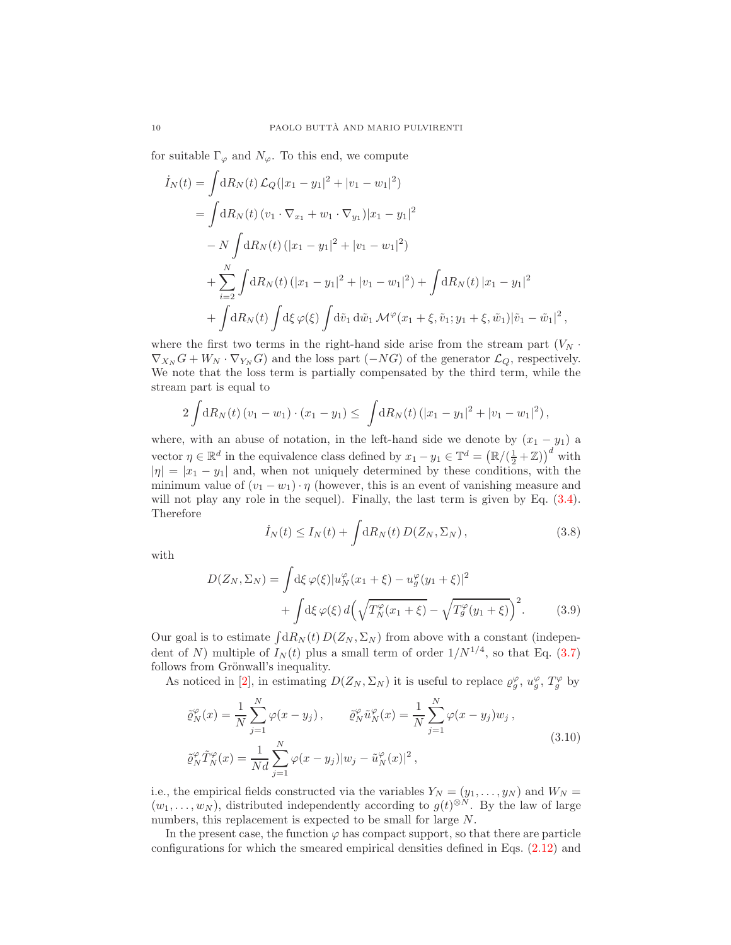for suitable  $\Gamma_{\varphi}$  and  $N_{\varphi}$ . To this end, we compute

$$
\begin{split}\n\dot{I}_N(t) &= \int \mathrm{d}R_N(t) \, \mathcal{L}_Q(|x_1 - y_1|^2 + |v_1 - w_1|^2) \\
&= \int \mathrm{d}R_N(t) \, (v_1 \cdot \nabla_{x_1} + w_1 \cdot \nabla_{y_1}) |x_1 - y_1|^2 \\
&- N \int \mathrm{d}R_N(t) \, (|x_1 - y_1|^2 + |v_1 - w_1|^2) \\
&+ \sum_{i=2}^N \int \mathrm{d}R_N(t) \, (|x_1 - y_1|^2 + |v_1 - w_1|^2) + \int \mathrm{d}R_N(t) \, |x_1 - y_1|^2 \\
&+ \int \mathrm{d}R_N(t) \int \mathrm{d}\xi \, \varphi(\xi) \int \mathrm{d}\tilde{v}_1 \, \mathrm{d}\tilde{w}_1 \, \mathcal{M}^\varphi(x_1 + \xi, \tilde{v}_1; y_1 + \xi, \tilde{w}_1) |\tilde{v}_1 - \tilde{w}_1|^2 \,,\n\end{split}
$$

where the first two terms in the right-hand side arise from the stream part  $(V_N \cdot$  $\nabla_{X_N} G + W_N \cdot \nabla_{Y_N} G$  and the loss part  $(-NG)$  of the generator  $\mathcal{L}_Q$ , respectively. We note that the loss term is partially compensated by the third term, while the stream part is equal to

$$
2\int dR_N(t) (v_1 - w_1) \cdot (x_1 - y_1) \leq \int dR_N(t) (|x_1 - y_1|^2 + |v_1 - w_1|^2),
$$

where, with an abuse of notation, in the left-hand side we denote by  $(x_1 - y_1)$  a vector  $\eta \in \mathbb{R}^d$  in the equivalence class defined by  $x_1 - y_1 \in \mathbb{T}^d = (\mathbb{R}/(\frac{1}{2} + \mathbb{Z}))^d$  with  $|\eta| = |x_1 - y_1|$  and, when not uniquely determined by these conditions, with the minimum value of  $(v_1 - w_1) \cdot \eta$  (however, this is an event of vanishing measure and will not play any role in the sequel). Finally, the last term is given by Eq.  $(3.4)$ . Therefore

<span id="page-9-2"></span><span id="page-9-1"></span>
$$
\dot{I}_N(t) \le I_N(t) + \int \mathrm{d}R_N(t) \, D(Z_N, \Sigma_N) \,, \tag{3.8}
$$

with

$$
D(Z_N, \Sigma_N) = \int d\xi \,\varphi(\xi) |u_N^{\varphi}(x_1 + \xi) - u_g^{\varphi}(y_1 + \xi)|^2
$$
  
+ 
$$
\int d\xi \,\varphi(\xi) \, d\left(\sqrt{T_N^{\varphi}(x_1 + \xi)} - \sqrt{T_g^{\varphi}(y_1 + \xi)}\right)^2.
$$
 (3.9)

Our goal is to estimate  $\int dR_N(t) D(Z_N, \Sigma_N)$  from above with a constant (independent of N) multiple of  $I_N(t)$  plus a small term of order  $1/N^{1/4}$ , so that Eq. [\(3.7\)](#page-8-2) follows from Grönwall's inequality.

As noticed in [\[2\]](#page-24-0), in estimating  $D(Z_N, \Sigma_N)$  it is useful to replace  $\varrho_g^{\varphi}$ ,  $u_g^{\varphi}$ ,  $T_g^{\varphi}$  by

<span id="page-9-0"></span>
$$
\tilde{\varrho}_N^{\varphi}(x) = \frac{1}{N} \sum_{j=1}^N \varphi(x - y_j), \qquad \tilde{\varrho}_N^{\varphi} \tilde{u}_N^{\varphi}(x) = \frac{1}{N} \sum_{j=1}^N \varphi(x - y_j) w_j,
$$
\n
$$
\tilde{\varrho}_N^{\varphi} \tilde{T}_N^{\varphi}(x) = \frac{1}{Nd} \sum_{j=1}^N \varphi(x - y_j) |w_j - \tilde{u}_N^{\varphi}(x)|^2,
$$
\n(3.10)

i.e., the empirical fields constructed via the variables  $Y_N = (y_1, \ldots, y_N)$  and  $W_N =$  $(w_1, \ldots, w_N)$ , distributed independently according to  $g(t)^{\otimes N}$ . By the law of large numbers, this replacement is expected to be small for large  $N$ .

In the present case, the function  $\varphi$  has compact support, so that there are particle configurations for which the smeared empirical densities defined in Eqs. [\(2.12\)](#page-4-4) and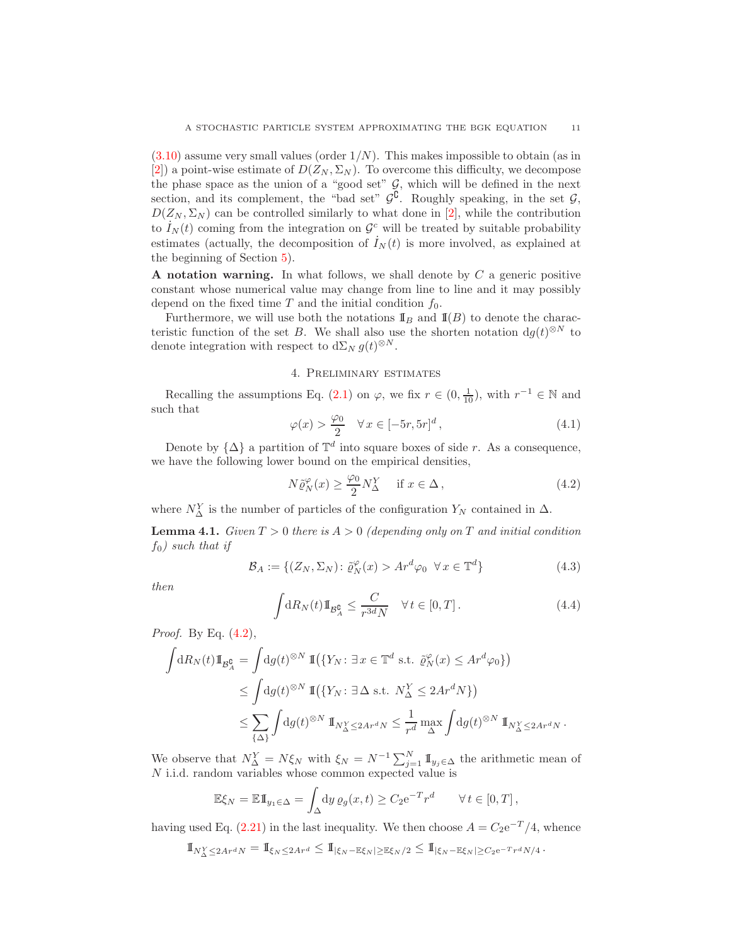$(3.10)$  assume very small values (order  $1/N$ ). This makes impossible to obtain (as in [\[2\]](#page-24-0)) a point-wise estimate of  $D(Z_N, \Sigma_N)$ . To overcome this difficulty, we decompose the phase space as the union of a "good set"  $G$ , which will be defined in the next section, and its complement, the "bad set"  $\mathcal{G}^{\complement}$ . Roughly speaking, in the set  $\mathcal{G}$ ,  $D(Z_N, \Sigma_N)$  can be controlled similarly to what done in [\[2\]](#page-24-0), while the contribution to  $I_N(t)$  coming from the integration on  $\mathcal{G}^c$  will be treated by suitable probability estimates (actually, the decomposition of  $\dot{I}_N(t)$  is more involved, as explained at the beginning of Section [5\)](#page-12-0).

A notation warning. In what follows, we shall denote by  $C$  a generic positive constant whose numerical value may change from line to line and it may possibly depend on the fixed time  $T$  and the initial condition  $f_0$ .

Furthermore, we will use both the notations  $\mathbb{I}_B$  and  $\mathbb{I}(B)$  to denote the characteristic function of the set B. We shall also use the shorten notation  $dg(t)^{\otimes N}$  to denote integration with respect to  $d\Sigma_N g(t)^{\otimes N}$ .

# 4. Preliminary estimates

<span id="page-10-0"></span>Recalling the assumptions Eq. [\(2.1\)](#page-3-4) on  $\varphi$ , we fix  $r \in (0, \frac{1}{10})$ , with  $r^{-1} \in \mathbb{N}$  and such that

<span id="page-10-5"></span>
$$
\varphi(x) > \frac{\varphi_0}{2} \quad \forall \, x \in [-5r, 5r]^d \,, \tag{4.1}
$$

Denote by  $\{\Delta\}$  a partition of  $\mathbb{T}^d$  into square boxes of side r. As a consequence, we have the following lower bound on the empirical densities,

<span id="page-10-1"></span>
$$
N\tilde{\varrho}_N^{\varphi}(x) \ge \frac{\varphi_0}{2} N_{\Delta}^Y \quad \text{if } x \in \Delta,
$$
\n(4.2)

where  $N_{\Delta}^Y$  is the number of particles of the configuration  $Y_N$  contained in  $\Delta$ .

<span id="page-10-3"></span>**Lemma 4.1.** Given  $T > 0$  there is  $A > 0$  (depending only on T and initial condition  $f_0$ ) such that if

<span id="page-10-4"></span>
$$
\mathcal{B}_A := \{ (Z_N, \Sigma_N) \colon \tilde{\varrho}_N^{\varphi}(x) > Ar^d \varphi_0 \ \forall x \in \mathbb{T}^d \} \tag{4.3}
$$

then

<span id="page-10-2"></span>
$$
\int dR_N(t) \mathbb{I}_{\mathcal{B}^{\mathbf{0}}_A} \le \frac{C}{r^{3d}N} \quad \forall \, t \in [0, T]. \tag{4.4}
$$

Proof. By Eq. [\(4.2\)](#page-10-1),

$$
\int dR_N(t) \mathbb{I}_{\mathcal{B}^{\mathbf{C}}_A} = \int dg(t)^{\otimes N} \, \mathbb{I}(\{Y_N : \exists \, x \in \mathbb{T}^d \text{ s.t. } \tilde{\varrho}_N^{\varphi}(x) \le Ar^d \varphi_0\})
$$
\n
$$
\le \int dg(t)^{\otimes N} \, \mathbb{I}(\{Y_N : \exists \, \Delta \text{ s.t. } N^Y_\Delta \le 2Ar^d N\})
$$
\n
$$
\le \sum_{\{\Delta\}} \int dg(t)^{\otimes N} \, \mathbb{I}_{N^Y_\Delta \le 2Ar^d N} \le \frac{1}{r^d} \max_{\Delta} \int dg(t)^{\otimes N} \, \mathbb{I}_{N^Y_\Delta \le 2Ar^d N}.
$$

We observe that  $N_{\Delta}^Y = N \xi_N$  with  $\xi_N = N^{-1} \sum_{j=1}^N \mathbb{I}_{y_j \in \Delta}$  the arithmetic mean of N i.i.d. random variables whose common expected value is

$$
\mathbb{E}\xi_N = \mathbb{E} \mathbb{I}_{y_1 \in \Delta} = \int_{\Delta} dy \, \varrho_g(x, t) \ge C_2 e^{-T} r^d \qquad \forall \, t \in [0, T],
$$

having used Eq. [\(2.21\)](#page-5-3) in the last inequality. We then choose  $A = C_2 e^{-T}/4$ , whence

$$
1\!\!1_{N_\Delta^Y\leq 2Ar^dN}=1\!\!1_{\xi_N\leq 2Ar^d}\leq 1\!\!1_{|\xi_N-\mathbb{E}\xi_N|\geq \mathbb{E}\xi_N/2}\leq 1\!\!1_{|\xi_N-\mathbb{E}\xi_N|\geq C_2\mathrm{e}^{-T}r^dN/4}.
$$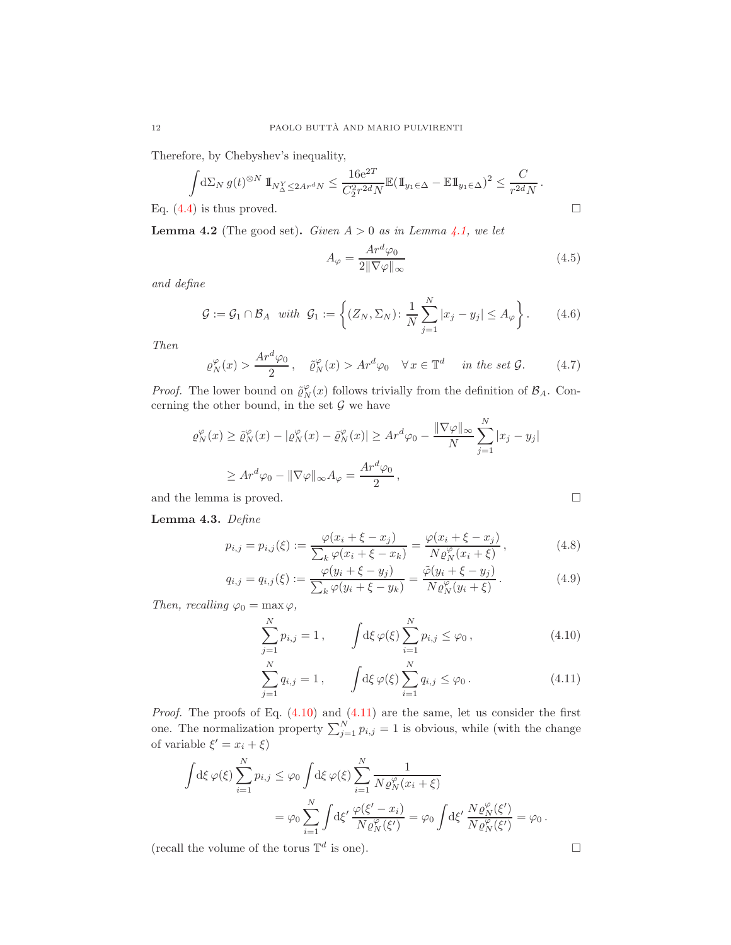Therefore, by Chebyshev's inequality,

$$
\int d\Sigma_N g(t)^{\otimes N} \mathbb{1}_{N^Y_\Delta \le 2Ar^dN} \le \frac{16e^{2T}}{C_2^2 r^{2d} N} \mathbb{E}(\mathbb{1}_{y_1 \in \Delta} - \mathbb{E} \mathbb{1}_{y_1 \in \Delta})^2 \le \frac{C}{r^{2d} N}.
$$
  
Eq. (4.4) is thus proved.

**Lemma 4.2** (The good set). Given  $A > 0$  as in Lemma [4.1,](#page-10-3) we let

<span id="page-11-5"></span>
$$
A_{\varphi} = \frac{Ar^d \varphi_0}{2 \|\nabla \varphi\|_{\infty}} \tag{4.5}
$$

and define

<span id="page-11-4"></span>
$$
\mathcal{G} := \mathcal{G}_1 \cap \mathcal{B}_A \quad with \quad \mathcal{G}_1 := \left\{ (Z_N, \Sigma_N) \colon \frac{1}{N} \sum_{j=1}^N |x_j - y_j| \le A_\varphi \right\}. \tag{4.6}
$$

Then

<span id="page-11-6"></span>
$$
\varrho_N^{\varphi}(x) > \frac{Ar^d \varphi_0}{2}, \quad \tilde{\varrho}_N^{\varphi}(x) > Ar^d \varphi_0 \quad \forall \, x \in \mathbb{T}^d \quad \text{ in the set } \mathcal{G}.\tag{4.7}
$$

*Proof.* The lower bound on  $\tilde{\varrho}_N^{\varphi}(x)$  follows trivially from the definition of  $\mathcal{B}_A$ . Concerning the other bound, in the set  $G$  we have

$$
\varrho_N^{\varphi}(x) \ge \tilde{\varrho}_N^{\varphi}(x) - |\varrho_N^{\varphi}(x) - \tilde{\varrho}_N^{\varphi}(x)| \ge Ar^d \varphi_0 - \frac{\|\nabla \varphi\|_{\infty}}{N} \sum_{j=1}^N |x_j - y_j|
$$
  

$$
\ge Ar^d \varphi_0 - \|\nabla \varphi\|_{\infty} A_{\varphi} = \frac{Ar^d \varphi_0}{2},
$$

and the lemma is proved.

Lemma 4.3. Define

$$
p_{i,j} = p_{i,j}(\xi) := \frac{\varphi(x_i + \xi - x_j)}{\sum_k \varphi(x_i + \xi - x_k)} = \frac{\varphi(x_i + \xi - x_j)}{N \varrho_N^{\varphi}(x_i + \xi)},
$$
(4.8)

$$
q_{i,j} = q_{i,j}(\xi) := \frac{\varphi(y_i + \xi - y_j)}{\sum_k \varphi(y_i + \xi - y_k)} = \frac{\tilde{\varphi}(y_i + \xi - y_j)}{N \varrho_N^{\varphi}(y_i + \xi)}.
$$
(4.9)

Then, recalling  $\varphi_0 = \max \varphi$ ,

$$
\sum_{j=1}^{N} p_{i,j} = 1, \qquad \int \! d\xi \, \varphi(\xi) \sum_{i=1}^{N} p_{i,j} \leq \varphi_0, \qquad (4.10)
$$

$$
\sum_{j=1}^{N} q_{i,j} = 1, \qquad \int \! d\xi \, \varphi(\xi) \sum_{i=1}^{N} q_{i,j} \leq \varphi_0 \,.
$$
 (4.11)

*Proof.* The proofs of Eq.  $(4.10)$  and  $(4.11)$  are the same, let us consider the first one. The normalization property  $\sum_{j=1}^{N} p_{i,j} = 1$  is obvious, while (with the change of variable  $\xi' = x_i + \xi$ 

$$
\int d\xi \,\varphi(\xi) \sum_{i=1}^N p_{i,j} \leq \varphi_0 \int d\xi \,\varphi(\xi) \sum_{i=1}^N \frac{1}{N \varrho_N^{\varphi}(x_i + \xi)}
$$
  
= 
$$
\varphi_0 \sum_{i=1}^N \int d\xi' \, \frac{\varphi(\xi' - x_i)}{N \varrho_N^{\varphi}(\xi')} = \varphi_0 \int d\xi' \, \frac{N \varrho_N^{\varphi}(\xi')}{N \varrho_N^{\varphi}(\xi')} = \varphi_0.
$$

(recall the volume of the torus  $\mathbb{T}^d$  is one).

<span id="page-11-3"></span><span id="page-11-2"></span><span id="page-11-0"></span>
$$
\qquad \qquad \Box
$$

<span id="page-11-1"></span>
$$
\Box
$$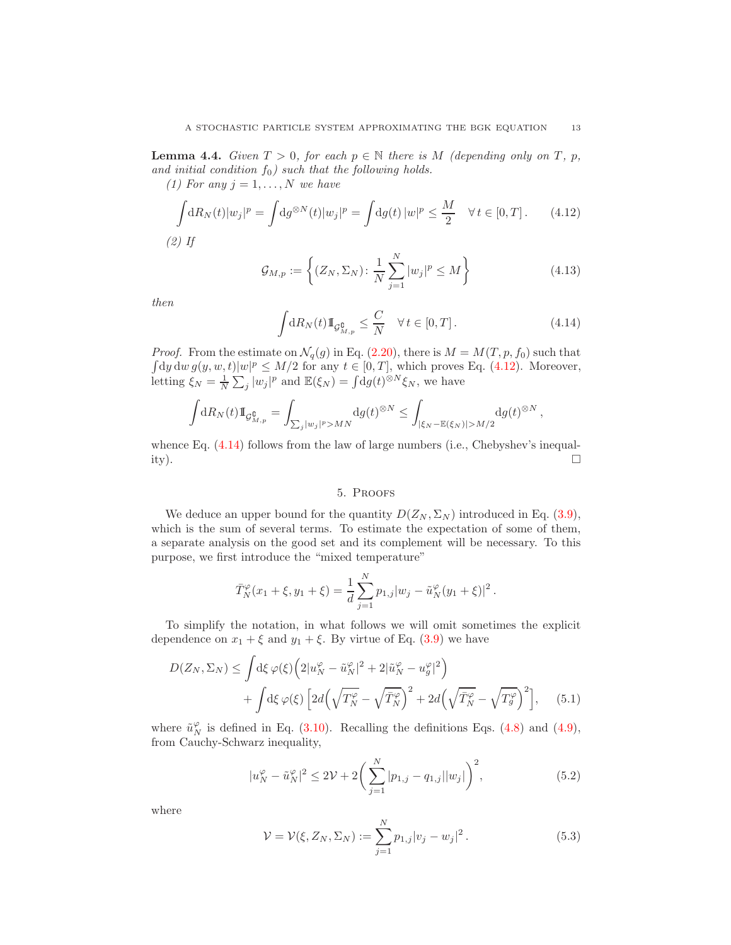**Lemma 4.4.** Given  $T > 0$ , for each  $p \in \mathbb{N}$  there is M (depending only on T, p, and initial condition  $f_0$ ) such that the following holds.

(1) For any  $j = 1, \ldots, N$  we have

<span id="page-12-1"></span>
$$
\int dR_N(t)|w_j|^p = \int dg^{\otimes N}(t)|w_j|^p = \int dg(t)|w|^p \le \frac{M}{2} \quad \forall t \in [0, T]. \tag{4.12}
$$

(2) If

<span id="page-12-5"></span>
$$
\mathcal{G}_{M,p} := \left\{ (Z_N, \Sigma_N) \colon \frac{1}{N} \sum_{j=1}^N |w_j|^p \le M \right\}
$$
\n(4.13)

then

<span id="page-12-2"></span>
$$
\int dR_N(t) \mathbb{1}_{\mathcal{G}_{M,p}^{\mathbf{0}} \leq \frac{C}{N} \quad \forall \, t \in [0, T]. \tag{4.14}
$$

*Proof.* From the estimate on  $\mathcal{N}_q(g)$  in Eq. [\(2.20\)](#page-5-4), there is  $M = M(T, p, f_0)$  such that  $\int d\mu \, d\mu \, g(y, w, t) |w|^p \le M/2$  for any  $t \in [0, T]$ , which proves Eq. [\(4.12\)](#page-12-1). Moreover, letting  $\xi_N = \frac{1}{N} \sum_j |w_j|^p$  and  $\mathbb{E}(\xi_N) = \int dg(t)^{\otimes N} \xi_N$ , we have

$$
\int dR_N(t) 1\!\!1_{\mathcal{G}_{M,p}^{\mathbf{0}}} = \int_{\sum_j |w_j|^p > MN} dg(t)^{\otimes N} \le \int_{|\xi_N - \mathbb{E}(\xi_N)| > M/2} dg(t)^{\otimes N},
$$

whence Eq.  $(4.14)$  follows from the law of large numbers (i.e., Chebyshev's inequality).  $\square$ 

### <span id="page-12-4"></span>5. Proofs

<span id="page-12-0"></span>We deduce an upper bound for the quantity  $D(Z_N, \Sigma_N)$  introduced in Eq. [\(3.9\)](#page-9-1), which is the sum of several terms. To estimate the expectation of some of them, a separate analysis on the good set and its complement will be necessary. To this purpose, we first introduce the "mixed temperature"

$$
\bar{T}_N^{\varphi}(x_1+\xi, y_1+\xi) = \frac{1}{d} \sum_{j=1}^N p_{1,j} |w_j - \tilde{u}_N^{\varphi}(y_1+\xi)|^2.
$$

To simplify the notation, in what follows we will omit sometimes the explicit dependence on  $x_1 + \xi$  and  $y_1 + \xi$ . By virtue of Eq. [\(3.9\)](#page-9-1) we have

$$
D(Z_N, \Sigma_N) \le \int d\xi \,\varphi(\xi) \left( 2|u_N^{\varphi} - \tilde{u}_N^{\varphi}|^2 + 2|\tilde{u}_N^{\varphi} - u_g^{\varphi}|^2 \right) + \int d\xi \,\varphi(\xi) \left[ 2d\left(\sqrt{T_N^{\varphi}} - \sqrt{\bar{T}_N^{\varphi}}\right)^2 + 2d\left(\sqrt{\bar{T}_N^{\varphi}} - \sqrt{T_g^{\varphi}}\right)^2 \right], \quad (5.1)
$$

where  $\tilde{u}_N^{\varphi}$  is defined in Eq. [\(3.10\)](#page-9-0). Recalling the definitions Eqs. [\(4.8\)](#page-11-2) and [\(4.9\)](#page-11-3), from Cauchy-Schwarz inequality,

<span id="page-12-3"></span>
$$
|u_N^{\varphi} - \tilde{u}_N^{\varphi}|^2 \le 2\mathcal{V} + 2\bigg(\sum_{j=1}^N |p_{1,j} - q_{1,j}||w_j|\bigg)^2,
$$
\n(5.2)

where

$$
\mathcal{V} = \mathcal{V}(\xi, Z_N, \Sigma_N) := \sum_{j=1}^N p_{1,j} |v_j - w_j|^2.
$$
 (5.3)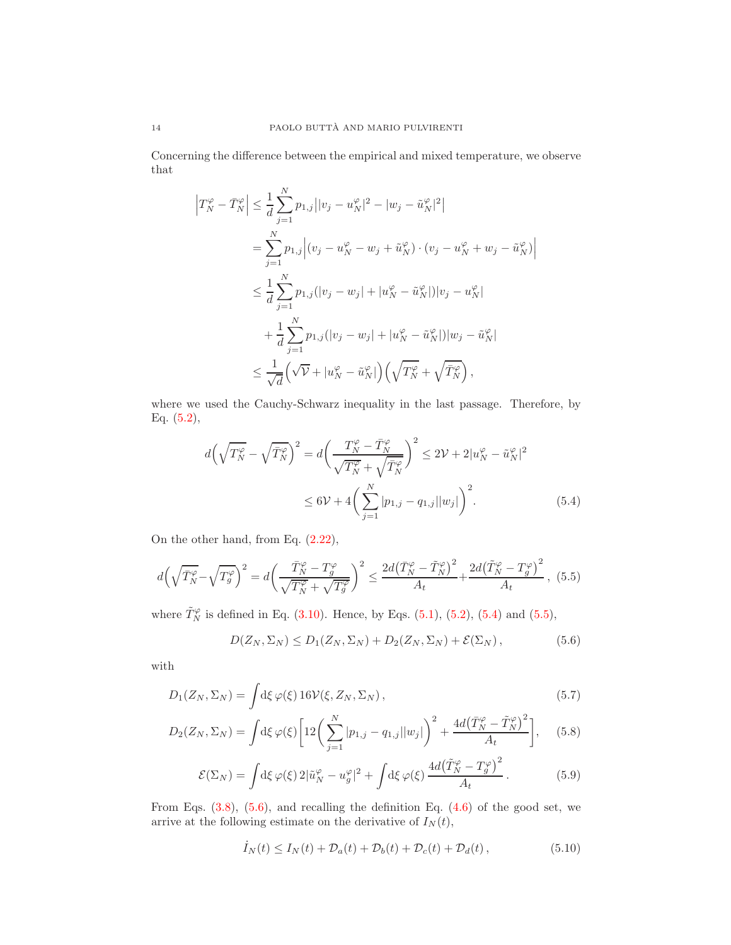Concerning the difference between the empirical and mixed temperature, we observe that

$$
\left|T_N^{\varphi} - \bar{T}_N^{\varphi}\right| \leq \frac{1}{d} \sum_{j=1}^N p_{1,j} ||v_j - u_N^{\varphi}|^2 - |w_j - \tilde{u}_N^{\varphi}|^2
$$
\n
$$
= \sum_{j=1}^N p_{1,j} \left| (v_j - u_N^{\varphi} - w_j + \tilde{u}_N^{\varphi}) \cdot (v_j - u_N^{\varphi} + w_j - \tilde{u}_N^{\varphi}) \right|
$$
\n
$$
\leq \frac{1}{d} \sum_{j=1}^N p_{1,j} (|v_j - w_j| + |u_N^{\varphi} - \tilde{u}_N^{\varphi}|) |v_j - u_N^{\varphi}|
$$
\n
$$
+ \frac{1}{d} \sum_{j=1}^N p_{1,j} (|v_j - w_j| + |u_N^{\varphi} - \tilde{u}_N^{\varphi}|) |w_j - \tilde{u}_N^{\varphi}|
$$
\n
$$
\leq \frac{1}{\sqrt{d}} \left( \sqrt{\mathcal{V}} + |u_N^{\varphi} - \tilde{u}_N^{\varphi}| \right) \left( \sqrt{T_N^{\varphi}} + \sqrt{\bar{T}_N^{\varphi}} \right),
$$

where we used the Cauchy-Schwarz inequality in the last passage. Therefore, by Eq.  $(5.2)$ ,

<span id="page-13-0"></span>
$$
d\left(\sqrt{T_N^{\varphi}} - \sqrt{\bar{T}_N^{\varphi}}\right)^2 = d\left(\frac{T_N^{\varphi} - \bar{T}_N^{\varphi}}{\sqrt{T_N^{\varphi}} + \sqrt{\bar{T}_N^{\varphi}}}\right)^2 \le 2\mathcal{V} + 2|u_N^{\varphi} - \tilde{u}_N^{\varphi}|^2
$$
  

$$
\le 6\mathcal{V} + 4\left(\sum_{j=1}^N |p_{1,j} - q_{1,j}| |w_j|\right)^2.
$$
 (5.4)

On the other hand, from Eq. [\(2.22\)](#page-5-5),

<span id="page-13-1"></span>
$$
d\left(\sqrt{\bar{T}_{N}^{\varphi}}-\sqrt{T_{g}^{\varphi}}\right)^{2} = d\left(\frac{\bar{T}_{N}^{\varphi}-T_{g}^{\varphi}}{\sqrt{T_{N}^{\varphi}}+\sqrt{T_{g}^{\varphi}}}\right)^{2} \le \frac{2d\left(\bar{T}_{N}^{\varphi}-\tilde{T}_{N}^{\varphi}\right)^{2}}{A_{t}} + \frac{2d\left(\tilde{T}_{N}^{\varphi}-T_{g}^{\varphi}\right)^{2}}{A_{t}},\tag{5.5}
$$

where  $\tilde{T}_N^{\varphi}$  is defined in Eq. [\(3.10\)](#page-9-0). Hence, by Eqs. [\(5.1\)](#page-12-4), [\(5.2\)](#page-12-3), [\(5.4\)](#page-13-0) and [\(5.5\)](#page-13-1),

<span id="page-13-2"></span>
$$
D(Z_N, \Sigma_N) \le D_1(Z_N, \Sigma_N) + D_2(Z_N, \Sigma_N) + \mathcal{E}(\Sigma_N), \qquad (5.6)
$$

with

$$
D_1(Z_N, \Sigma_N) = \int d\xi \,\varphi(\xi) \, 16 \mathcal{V}(\xi, Z_N, \Sigma_N) \,, \tag{5.7}
$$

$$
D_2(Z_N, \Sigma_N) = \int d\xi \,\varphi(\xi) \left[ 12 \left( \sum_{j=1}^N |p_{1,j} - q_{1,j}| |w_j| \right)^2 + \frac{4d(\bar{T}_N^{\varphi} - \tilde{T}_N^{\varphi})^2}{A_t} \right], \quad (5.8)
$$

$$
\mathcal{E}(\Sigma_N) = \int d\xi \,\varphi(\xi) \, 2|\tilde{u}_N^{\varphi} - u_g^{\varphi}|^2 + \int d\xi \,\varphi(\xi) \, \frac{4d\big(\tilde{T}_N^{\varphi} - T_g^{\varphi}\big)^2}{A_t} \,. \tag{5.9}
$$

From Eqs.  $(3.8)$ ,  $(5.6)$ , and recalling the definition Eq.  $(4.6)$  of the good set, we arrive at the following estimate on the derivative of  $I_N(t)$ ,

<span id="page-13-4"></span><span id="page-13-3"></span>
$$
\dot{I}_N(t) \le I_N(t) + \mathcal{D}_a(t) + \mathcal{D}_b(t) + \mathcal{D}_c(t) + \mathcal{D}_d(t), \qquad (5.10)
$$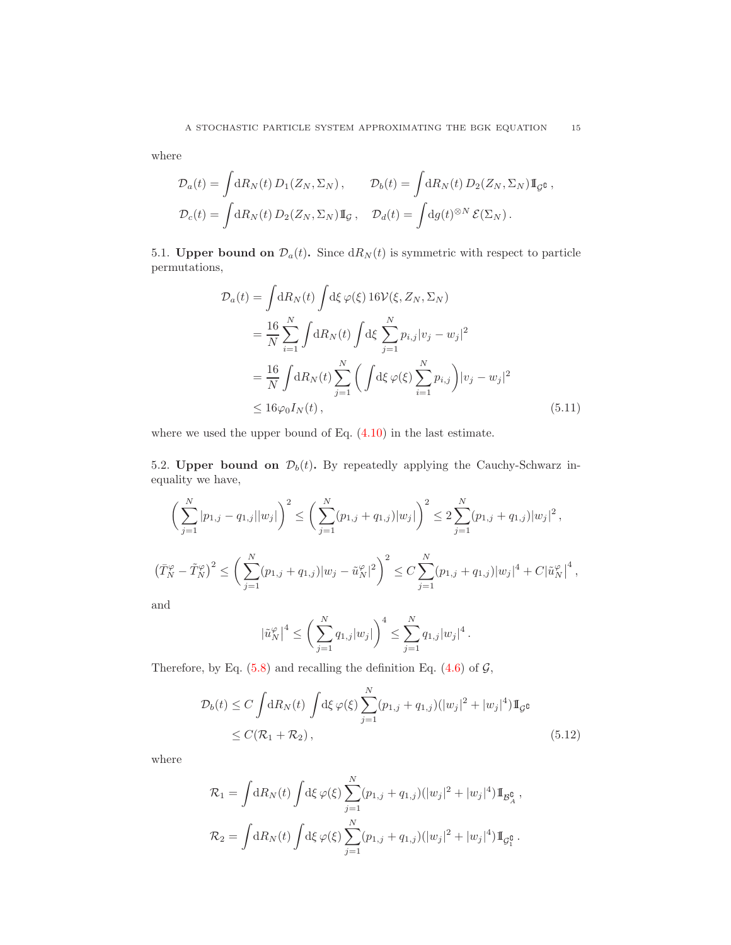where

$$
\mathcal{D}_a(t) = \int \mathrm{d}R_N(t) D_1(Z_N, \Sigma_N), \qquad \mathcal{D}_b(t) = \int \mathrm{d}R_N(t) D_2(Z_N, \Sigma_N) \mathbb{I}_{\mathcal{G}^{\complement}},
$$
  

$$
\mathcal{D}_c(t) = \int \mathrm{d}R_N(t) D_2(Z_N, \Sigma_N) \mathbb{I}_{\mathcal{G}}, \quad \mathcal{D}_d(t) = \int \mathrm{d}g(t)^{\otimes N} \mathcal{E}(\Sigma_N).
$$

5.1. Upper bound on  $\mathcal{D}_a(t)$ . Since  $dR_N(t)$  is symmetric with respect to particle permutations,

<span id="page-14-1"></span>
$$
\mathcal{D}_a(t) = \int dR_N(t) \int d\xi \,\varphi(\xi) 16 \mathcal{V}(\xi, Z_N, \Sigma_N)
$$
  
\n
$$
= \frac{16}{N} \sum_{i=1}^N \int dR_N(t) \int d\xi \sum_{j=1}^N p_{i,j} |v_j - w_j|^2
$$
  
\n
$$
= \frac{16}{N} \int dR_N(t) \sum_{j=1}^N \left( \int d\xi \,\varphi(\xi) \sum_{i=1}^N p_{i,j} \right) |v_j - w_j|^2
$$
  
\n
$$
\leq 16 \varphi_0 I_N(t), \qquad (5.11)
$$

where we used the upper bound of Eq. [\(4.10\)](#page-11-0) in the last estimate.

5.2. Upper bound on  $\mathcal{D}_b(t)$ . By repeatedly applying the Cauchy-Schwarz inequality we have,

$$
\left(\sum_{j=1}^{N} |p_{1,j} - q_{1,j}||w_j|\right)^2 \le \left(\sum_{j=1}^{N} (p_{1,j} + q_{1,j})|w_j|\right)^2 \le 2\sum_{j=1}^{N} (p_{1,j} + q_{1,j})|w_j|^2,
$$
  

$$
\left(\bar{T}_N^{\varphi} - \tilde{T}_N^{\varphi}\right)^2 \le \left(\sum_{j=1}^{N} (p_{1,j} + q_{1,j})|w_j - \tilde{u}_N^{\varphi}|^2\right)^2 \le C\sum_{j=1}^{N} (p_{1,j} + q_{1,j})|w_j|^4 + C|\tilde{u}_N^{\varphi}|^4,
$$

and

<span id="page-14-0"></span>
$$
|\tilde{u}_N^{\varphi}|^4 \le \left(\sum_{j=1}^N q_{1,j}|w_j|\right)^4 \le \sum_{j=1}^N q_{1,j}|w_j|^4\,.
$$

Therefore, by Eq.  $(5.8)$  and recalling the definition Eq.  $(4.6)$  of  $\mathcal{G}$ ,

$$
\mathcal{D}_b(t) \le C \int dR_N(t) \int d\xi \,\varphi(\xi) \sum_{j=1}^N (p_{1,j} + q_{1,j}) (|w_j|^2 + |w_j|^4) \mathbb{I}_{\mathcal{G}^{\mathbb{G}}}
$$
  
 
$$
\le C(\mathcal{R}_1 + \mathcal{R}_2), \tag{5.12}
$$

where

$$
\mathcal{R}_1 = \int \mathrm{d}R_N(t) \int \mathrm{d}\xi \,\varphi(\xi) \sum_{j=1}^N (p_{1,j} + q_{1,j}) (|w_j|^2 + |w_j|^4) \mathbb{I}_{\mathcal{B}_A^0},
$$
  

$$
\mathcal{R}_2 = \int \mathrm{d}R_N(t) \int \mathrm{d}\xi \,\varphi(\xi) \sum_{j=1}^N (p_{1,j} + q_{1,j}) (|w_j|^2 + |w_j|^4) \mathbb{I}_{\mathcal{G}_1^0}.
$$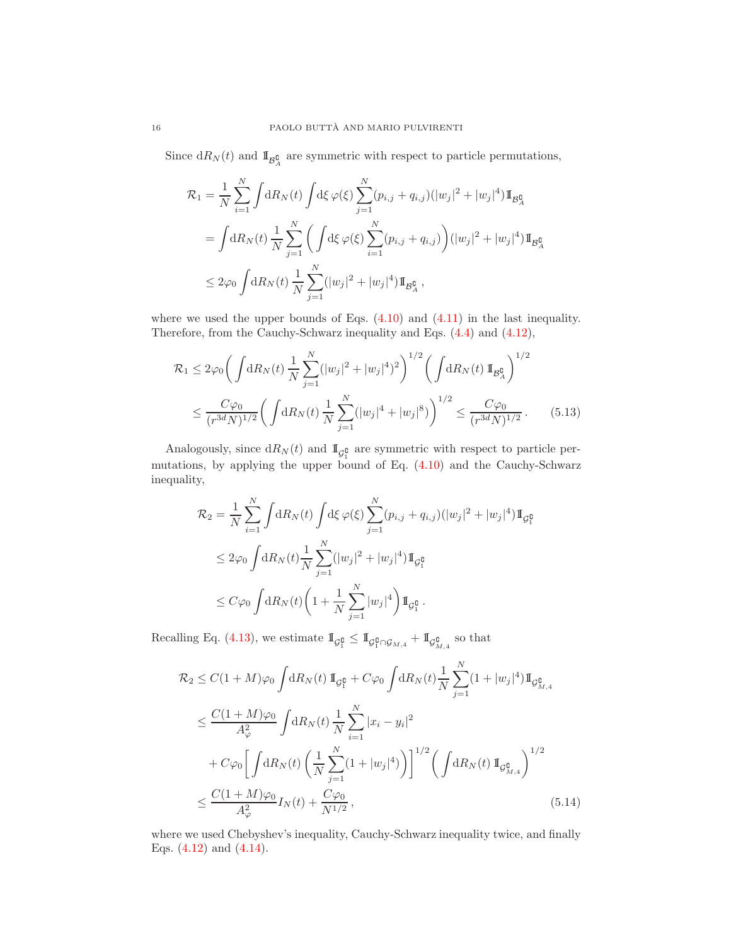Since  $dR_N(t)$  and  $\mathbb{I}_{\mathcal{B}^{\mathcal{C}}_A}$  are symmetric with respect to particle permutations,

$$
\mathcal{R}_{1} = \frac{1}{N} \sum_{i=1}^{N} \int dR_{N}(t) \int d\xi \,\varphi(\xi) \sum_{j=1}^{N} (p_{i,j} + q_{i,j}) (|w_{j}|^{2} + |w_{j}|^{4}) \mathbb{I}_{\mathcal{B}_{A}^{\mathbf{C}}} \n= \int dR_{N}(t) \frac{1}{N} \sum_{j=1}^{N} \left( \int d\xi \,\varphi(\xi) \sum_{i=1}^{N} (p_{i,j} + q_{i,j}) \right) (|w_{j}|^{2} + |w_{j}|^{4}) \mathbb{I}_{\mathcal{B}_{A}^{\mathbf{C}}} \n\leq 2\varphi_{0} \int dR_{N}(t) \frac{1}{N} \sum_{j=1}^{N} (|w_{j}|^{2} + |w_{j}|^{4}) \mathbb{I}_{\mathcal{B}_{A}^{\mathbf{C}}},
$$

where we used the upper bounds of Eqs.  $(4.10)$  and  $(4.11)$  in the last inequality. Therefore, from the Cauchy-Schwarz inequality and Eqs. [\(4.4\)](#page-10-2) and [\(4.12\)](#page-12-1),

$$
\mathcal{R}_1 \le 2\varphi_0 \bigg( \int \mathrm{d}R_N(t) \, \frac{1}{N} \sum_{j=1}^N (|w_j|^2 + |w_j|^4)^2 \bigg)^{1/2} \bigg( \int \mathrm{d}R_N(t) \, \mathbb{I}_{\mathcal{B}_{A}^{\complement}} \bigg)^{1/2} \le \frac{C\varphi_0}{(r^{3d}N)^{1/2}} \bigg( \int \mathrm{d}R_N(t) \, \frac{1}{N} \sum_{j=1}^N (|w_j|^4 + |w_j|^8) \bigg)^{1/2} \le \frac{C\varphi_0}{(r^{3d}N)^{1/2}}. \tag{5.13}
$$

Analogously, since  $dR_N(t)$  and  $\mathbb{I}_{\mathcal{G}_1^{\complement}}$  are symmetric with respect to particle permutations, by applying the upper bound of Eq. [\(4.10\)](#page-11-0) and the Cauchy-Schwarz inequality,

<span id="page-15-0"></span>
$$
\mathcal{R}_2 = \frac{1}{N} \sum_{i=1}^N \int dR_N(t) \int d\xi \,\varphi(\xi) \sum_{j=1}^N (p_{i,j} + q_{i,j}) (|w_j|^2 + |w_j|^4) \mathbb{I}_{\mathcal{G}_1^{\mathbb{G}}} \n\leq 2\varphi_0 \int dR_N(t) \frac{1}{N} \sum_{j=1}^N (|w_j|^2 + |w_j|^4) \mathbb{I}_{\mathcal{G}_1^{\mathbb{G}}} \n\leq C\varphi_0 \int dR_N(t) \left(1 + \frac{1}{N} \sum_{j=1}^N |w_j|^4 \right) \mathbb{I}_{\mathcal{G}_1^{\mathbb{G}}}.
$$

Recalling Eq. [\(4.13\)](#page-12-5), we estimate  $\mathbb{I}_{\mathcal{G}_1^{\complement}} \leq \mathbb{I}_{\mathcal{G}_1^{\complement} \cap \mathcal{G}_{M,4}} + \mathbb{I}_{\mathcal{G}_{M,4}^{\complement}}$  so that

<span id="page-15-1"></span>
$$
\mathcal{R}_{2} \leq C(1+M)\varphi_{0} \int dR_{N}(t) \, \mathbb{I}_{\mathcal{G}_{1}^{\complement}} + C\varphi_{0} \int dR_{N}(t) \frac{1}{N} \sum_{j=1}^{N} (1+|w_{j}|^{4}) \mathbb{I}_{\mathcal{G}_{M,4}^{\complement}}
$$
\n
$$
\leq \frac{C(1+M)\varphi_{0}}{A_{\varphi}^{2}} \int dR_{N}(t) \frac{1}{N} \sum_{i=1}^{N} |x_{i} - y_{i}|^{2}
$$
\n
$$
+ C\varphi_{0} \left[ \int dR_{N}(t) \left( \frac{1}{N} \sum_{j=1}^{N} (1+|w_{j}|^{4}) \right) \right]^{1/2} \left( \int dR_{N}(t) \, \mathbb{I}_{\mathcal{G}_{M,4}^{\complement}} \right)^{1/2}
$$
\n
$$
\leq \frac{C(1+M)\varphi_{0}}{A_{\varphi}^{2}} I_{N}(t) + \frac{C\varphi_{0}}{N^{1/2}}, \tag{5.14}
$$

where we used Chebyshev's inequality, Cauchy-Schwarz inequality twice, and finally Eqs. [\(4.12\)](#page-12-1) and [\(4.14\)](#page-12-2).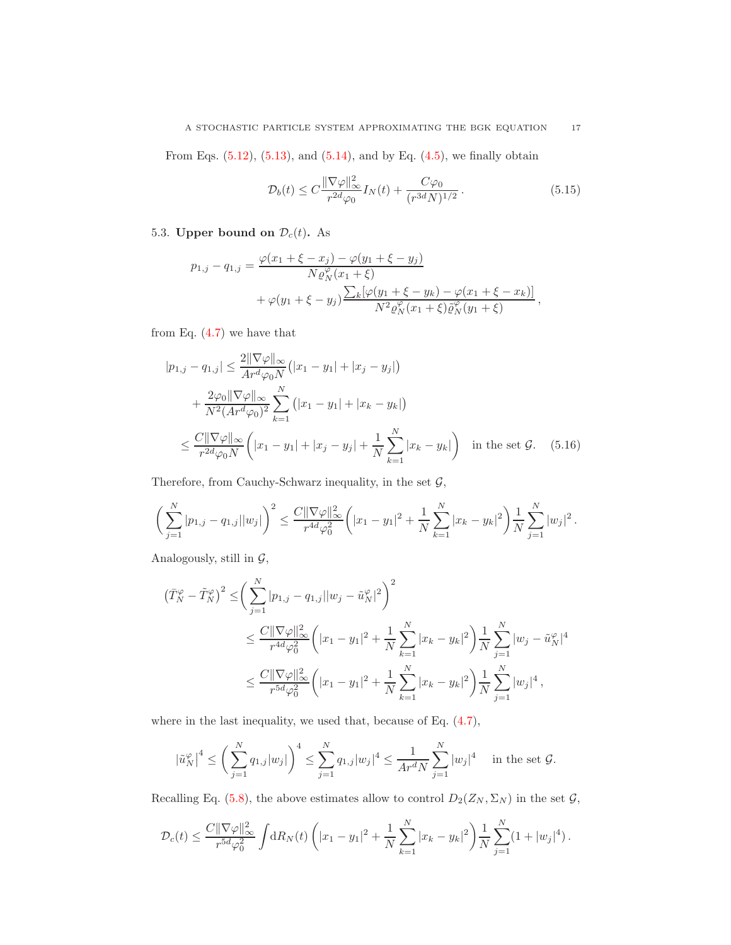# A STOCHASTIC PARTICLE SYSTEM APPROXIMATING THE BGK EQUATION 17

From Eqs.  $(5.12)$ ,  $(5.13)$ , and  $(5.14)$ , and by Eq.  $(4.5)$ , we finally obtain

<span id="page-16-0"></span>
$$
\mathcal{D}_b(t) \le C \frac{\|\nabla \varphi\|_{\infty}^2}{r^{2d}\varphi_0} I_N(t) + \frac{C\varphi_0}{(r^{3d}N)^{1/2}}.
$$
\n(5.15)

# 5.3. Upper bound on  $\mathcal{D}_c(t)$ . As

$$
p_{1,j} - q_{1,j} = \frac{\varphi(x_1 + \xi - x_j) - \varphi(y_1 + \xi - y_j)}{N \varrho_N^{\varphi}(x_1 + \xi)} + \varphi(y_1 + \xi - y_j) \frac{\sum_k [\varphi(y_1 + \xi - y_k) - \varphi(x_1 + \xi - x_k)]}{N^2 \varrho_N^{\varphi}(x_1 + \xi) \tilde{\varrho}_N^{\varphi}(y_1 + \xi)},
$$

from Eq.  $(4.7)$  we have that

$$
|p_{1,j} - q_{1,j}| \leq \frac{2\|\nabla\varphi\|_{\infty}}{Ar^d\varphi_0 N} (|x_1 - y_1| + |x_j - y_j|)
$$
  
+ 
$$
\frac{2\varphi_0 \|\nabla\varphi\|_{\infty}}{N^2 (Ar^d\varphi_0)^2} \sum_{k=1}^N (|x_1 - y_1| + |x_k - y_k|)
$$
  

$$
\leq \frac{C\|\nabla\varphi\|_{\infty}}{r^{2d}\varphi_0 N} (|x_1 - y_1| + |x_j - y_j| + \frac{1}{N} \sum_{k=1}^N |x_k - y_k|) \quad \text{in the set } \mathcal{G}. \quad (5.16)
$$

Therefore, from Cauchy-Schwarz inequality, in the set  $\mathcal{G},$ 

$$
\bigg(\sum_{j=1}^N |p_{1,j} - q_{1,j}||w_j|\bigg)^2 \le \frac{C\|\nabla\varphi\|_{\infty}^2}{r^{4d}\varphi_0^2}\bigg(|x_1 - y_1|^2 + \frac{1}{N}\sum_{k=1}^N |x_k - y_k|^2\bigg)\frac{1}{N}\sum_{j=1}^N |w_j|^2.
$$

Analogously, still in  $G$ ,

$$
\begin{split} \left(\bar{T}_{N}^{\varphi} - \tilde{T}_{N}^{\varphi}\right)^{2} &\leq \left(\sum_{j=1}^{N} |p_{1,j} - q_{1,j}| |w_{j} - \tilde{u}_{N}^{\varphi}|^{2}\right)^{2} \\ &\leq \frac{C\|\nabla\varphi\|_{\infty}^{2}}{r^{4d}\varphi_{0}^{2}} \left(|x_{1} - y_{1}|^{2} + \frac{1}{N} \sum_{k=1}^{N} |x_{k} - y_{k}|^{2}\right) \frac{1}{N} \sum_{j=1}^{N} |w_{j} - \tilde{u}_{N}^{\varphi}|^{4} \\ &\leq \frac{C\|\nabla\varphi\|_{\infty}^{2}}{r^{5d}\varphi_{0}^{2}} \left(|x_{1} - y_{1}|^{2} + \frac{1}{N} \sum_{k=1}^{N} |x_{k} - y_{k}|^{2}\right) \frac{1}{N} \sum_{j=1}^{N} |w_{j}|^{4} \,, \end{split}
$$

where in the last inequality, we used that, because of Eq. [\(4.7\)](#page-11-6),

$$
\left|\tilde{u}_N^{\varphi}\right|^4 \le \left(\sum_{j=1}^N q_{1,j}|w_j|\right)^4 \le \sum_{j=1}^N q_{1,j}|w_j|^4 \le \frac{1}{Ar^dN}\sum_{j=1}^N |w_j|^4 \quad \text{ in the set } \mathcal{G}.
$$

Recalling Eq. [\(5.8\)](#page-13-3), the above estimates allow to control  $D_2(Z_N, \Sigma_N)$  in the set  $\mathcal{G}$ ,

$$
\mathcal{D}_c(t) \leq \frac{C\|\nabla\varphi\|_{\infty}^2}{r^{5d}\varphi_0^2} \int \mathrm{d}R_N(t) \left( |x_1 - y_1|^2 + \frac{1}{N} \sum_{k=1}^N |x_k - y_k|^2 \right) \frac{1}{N} \sum_{j=1}^N (1 + |w_j|^4) \, .
$$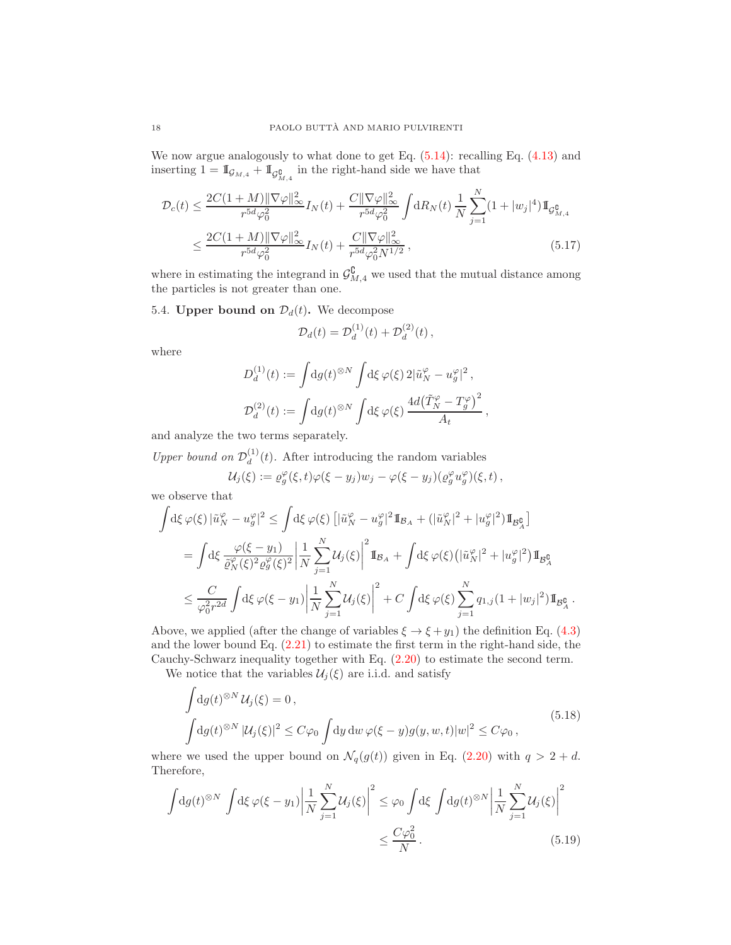We now argue analogously to what done to get Eq.  $(5.14)$ : recalling Eq.  $(4.13)$  and inserting  $1 = \mathbb{I}_{\mathcal{G}_{M,4}} + \mathbb{I}_{\mathcal{G}_{M,4}^{\complement}}$  in the right-hand side we have that

$$
\mathcal{D}_{c}(t) \leq \frac{2C(1+M)\|\nabla\varphi\|_{\infty}^{2}}{r^{5d}\varphi_{0}^{2}} I_{N}(t) + \frac{C\|\nabla\varphi\|_{\infty}^{2}}{r^{5d}\varphi_{0}^{2}} \int dR_{N}(t) \frac{1}{N} \sum_{j=1}^{N} (1+|w_{j}|^{4}) \mathbb{I}_{\mathcal{G}_{M,4}^{\mathfrak{g}}} \n\leq \frac{2C(1+M)\|\nabla\varphi\|_{\infty}^{2}}{r^{5d}\varphi_{0}^{2}} I_{N}(t) + \frac{C\|\nabla\varphi\|_{\infty}^{2}}{r^{5d}\varphi_{0}^{2}N^{1/2}},
$$
\n(5.17)

where in estimating the integrand in  $\mathcal{G}_{M,4}^{\complement}$  we used that the mutual distance among the particles is not greater than one.

# 5.4. Upper bound on  $\mathcal{D}_d(t)$ . We decompose

<span id="page-17-2"></span>
$$
\mathcal{D}_d(t) = \mathcal{D}_d^{(1)}(t) + \mathcal{D}_d^{(2)}(t) ,
$$

where

$$
\begin{split} D_d^{(1)}(t) &:= \int \! \mathrm{d} g(t)^{\otimes N} \int \! \mathrm{d} \xi \, \varphi(\xi) \, 2 |\tilde{u}_N^\varphi - u_g^\varphi|^2 \,, \\ D_d^{(2)}(t) &:= \int \! \mathrm{d} g(t)^{\otimes N} \int \! \mathrm{d} \xi \, \varphi(\xi) \, \frac{4 d \bigl( \tilde{T}_N^\varphi - T_g^\varphi \bigr)^2}{A_t} \,, \end{split}
$$

and analyze the two terms separately.

Upper bound on  $\mathcal{D}_d^{(1)}$  $\frac{d^{(1)}}{d}(t)$ . After introducing the random variables

$$
\mathcal{U}_j(\xi) := \varrho_g^{\varphi}(\xi, t)\varphi(\xi - y_j)w_j - \varphi(\xi - y_j)(\varrho_g^{\varphi}u_g^{\varphi})(\xi, t),
$$

we observe that

$$
\int d\xi \,\varphi(\xi) \, |\tilde{u}_N^{\varphi} - u_g^{\varphi}|^2 \le \int d\xi \,\varphi(\xi) \left[ |\tilde{u}_N^{\varphi} - u_g^{\varphi}|^2 \mathbb{1}_{\mathcal{B}_A} + (|\tilde{u}_N^{\varphi}|^2 + |u_g^{\varphi}|^2) \mathbb{1}_{\mathcal{B}_A^{\mathbb{C}}} \right]
$$
  
\n
$$
= \int d\xi \, \frac{\varphi(\xi - y_1)}{\tilde{\varrho}_N^{\varphi}(\xi)^2 \varrho_g^{\varphi}(\xi)^2} \left| \frac{1}{N} \sum_{j=1}^N \mathcal{U}_j(\xi) \right|^2 \mathbb{1}_{\mathcal{B}_A} + \int d\xi \,\varphi(\xi) \left( |\tilde{u}_N^{\varphi}|^2 + |u_g^{\varphi}|^2 \right) \mathbb{1}_{\mathcal{B}_A^{\mathbb{C}}} \right]
$$
  
\n
$$
\le \frac{C}{\varphi_0^2 r^{2d}} \int d\xi \,\varphi(\xi - y_1) \left| \frac{1}{N} \sum_{j=1}^N \mathcal{U}_j(\xi) \right|^2 + C \int d\xi \,\varphi(\xi) \sum_{j=1}^N q_{1,j} (1 + |w_j|^2) \mathbb{1}_{\mathcal{B}_A^{\mathbb{C}}} \right|
$$

<span id="page-17-1"></span>.

Above, we applied (after the change of variables  $\xi \rightarrow \xi + y_1$ ) the definition Eq. [\(4.3\)](#page-10-4) and the lower bound Eq. [\(2.21\)](#page-5-3) to estimate the first term in the right-hand side, the Cauchy-Schwarz inequality together with Eq. [\(2.20\)](#page-5-4) to estimate the second term.

We notice that the variables  $\mathcal{U}_j(\xi)$  are i.i.d. and satisfy

$$
\int dg(t)^{\otimes N} U_j(\xi) = 0,
$$
\n
$$
\int dg(t)^{\otimes N} |U_j(\xi)|^2 \le C\varphi_0 \int dy \, dw \, \varphi(\xi - y) g(y, w, t) |w|^2 \le C\varphi_0,
$$
\n(5.18)

<span id="page-17-0"></span>where we used the upper bound on  $\mathcal{N}_q(g(t))$  given in Eq. [\(2.20\)](#page-5-4) with  $q > 2 + d$ . Therefore,

$$
\int dg(t)^{\otimes N} \int d\xi \,\varphi(\xi - y_1) \left| \frac{1}{N} \sum_{j=1}^{N} \mathcal{U}_j(\xi) \right|^2 \leq \varphi_0 \int d\xi \int dg(t)^{\otimes N} \left| \frac{1}{N} \sum_{j=1}^{N} \mathcal{U}_j(\xi) \right|^2
$$

$$
\leq \frac{C\varphi_0^2}{N}.
$$
(5.19)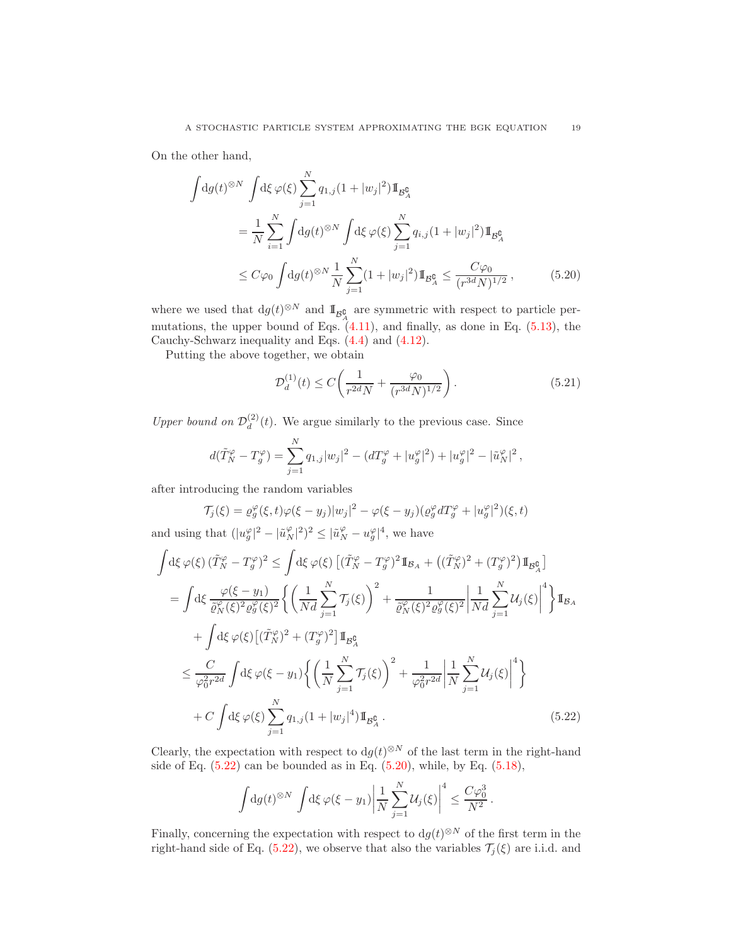On the other hand,

$$
\int dg(t)^{\otimes N} \int d\xi \,\varphi(\xi) \sum_{j=1}^{N} q_{1,j} (1+|w_j|^2) \mathbb{1}_{\mathcal{B}_{A}^{\mathbb{G}}} \n= \frac{1}{N} \sum_{i=1}^{N} \int dg(t)^{\otimes N} \int d\xi \,\varphi(\xi) \sum_{j=1}^{N} q_{i,j} (1+|w_j|^2) \mathbb{1}_{\mathcal{B}_{A}^{\mathbb{G}}} \n\leq C\varphi_0 \int dg(t)^{\otimes N} \frac{1}{N} \sum_{j=1}^{N} (1+|w_j|^2) \mathbb{1}_{\mathcal{B}_{A}^{\mathbb{G}}} \leq \frac{C\varphi_0}{(r^{3d}N)^{1/2}},
$$
\n(5.20)

where we used that  $dg(t)^{\otimes N}$  and  $\mathbb{I}_{\mathcal{B}^{\complement}_A}$  are symmetric with respect to particle permutations, the upper bound of Eqs.  $(4.11)$ , and finally, as done in Eq. [\(5.13\)](#page-15-0), the Cauchy-Schwarz inequality and Eqs. [\(4.4\)](#page-10-2) and [\(4.12\)](#page-12-1).

Putting the above together, we obtain

<span id="page-18-2"></span><span id="page-18-1"></span>
$$
\mathcal{D}_d^{(1)}(t) \le C \left( \frac{1}{r^{2d} N} + \frac{\varphi_0}{(r^{3d} N)^{1/2}} \right). \tag{5.21}
$$

Upper bound on  $\mathcal{D}_d^{(2)}$  $\frac{d^{(2)}}{d}(t)$ . We argue similarly to the previous case. Since

$$
d(\tilde{T}_N^{\varphi} - T_g^{\varphi}) = \sum_{j=1}^N q_{1,j} |w_j|^2 - (dT_g^{\varphi} + |u_g^{\varphi}|^2) + |u_g^{\varphi}|^2 - |\tilde{u}_N^{\varphi}|^2,
$$

after introducing the random variables

$$
\mathcal{T}_j(\xi) = \varrho_g^{\varphi}(\xi, t)\varphi(\xi - y_j)|w_j|^2 - \varphi(\xi - y_j)(\varrho_g^{\varphi} dT_g^{\varphi} + |w_g^{\varphi}|^2)(\xi, t)
$$

and using that  $(|u_g^{\varphi}|^2 - |\tilde{u}_N^{\varphi}|^2)^2 \leq |\tilde{u}_N^{\varphi} - u_g^{\varphi}|^4$ , we have

$$
\int d\xi \varphi(\xi) \left(\tilde{T}_{N}^{\varphi} - T_{g}^{\varphi}\right)^{2} \leq \int d\xi \varphi(\xi) \left[ \left(\tilde{T}_{N}^{\varphi} - T_{g}^{\varphi}\right)^{2} \mathbb{I}_{\mathcal{B}_{A}} + \left(\left(\tilde{T}_{N}^{\varphi}\right)^{2} + \left(T_{g}^{\varphi}\right)^{2}\right) \mathbb{I}_{\mathcal{B}_{A}^{0}} \right]
$$
\n
$$
= \int d\xi \frac{\varphi(\xi - y_{1})}{\tilde{\varrho}_{N}^{\varphi}(\xi)^{2} \varrho_{g}^{\varphi}(\xi)^{2}} \left\{ \left(\frac{1}{Nd} \sum_{j=1}^{N} \mathcal{T}_{j}(\xi)\right)^{2} + \frac{1}{\tilde{\varrho}_{N}^{\varphi}(\xi)^{2} \varrho_{g}^{\varphi}(\xi)^{2}} \left|\frac{1}{Nd} \sum_{j=1}^{N} \mathcal{U}_{j}(\xi)\right|^{4} \right\} \mathbb{I}_{\mathcal{B}_{A}}
$$
\n
$$
+ \int d\xi \varphi(\xi) \left[ \left(\tilde{T}_{N}^{\varphi}\right)^{2} + \left(T_{g}^{\varphi}\right)^{2} \right] \mathbb{I}_{\mathcal{B}_{A}^{0}}
$$
\n
$$
\leq \frac{C}{\varphi_{0}^{2}r^{2d}} \int d\xi \varphi(\xi - y_{1}) \left\{ \left(\frac{1}{N} \sum_{j=1}^{N} \mathcal{T}_{j}(\xi)\right)^{2} + \frac{1}{\varphi_{0}^{2}r^{2d}} \left|\frac{1}{N} \sum_{j=1}^{N} \mathcal{U}_{j}(\xi)\right|^{4} \right\}
$$
\n
$$
+ C \int d\xi \varphi(\xi) \sum_{j=1}^{N} q_{1,j} (1 + |w_{j}|^{4}) \mathbb{I}_{\mathcal{B}_{A}^{0}} . \tag{5.22}
$$

Clearly, the expectation with respect to  $dg(t)^{\otimes N}$  of the last term in the right-hand side of Eq.  $(5.22)$  can be bounded as in Eq.  $(5.20)$ , while, by Eq.  $(5.18)$ ,

<span id="page-18-0"></span>
$$
\int dg(t)^{\otimes N} \int d\xi \,\varphi(\xi - y_1) \bigg| \frac{1}{N} \sum_{j=1}^N \mathcal{U}_j(\xi) \bigg|^4 \leq \frac{C\varphi_0^3}{N^2}.
$$

Finally, concerning the expectation with respect to  $dg(t)^{\otimes N}$  of the first term in the right-hand side of Eq. [\(5.22\)](#page-18-0), we observe that also the variables  $\mathcal{T}_j(\xi)$  are i.i.d. and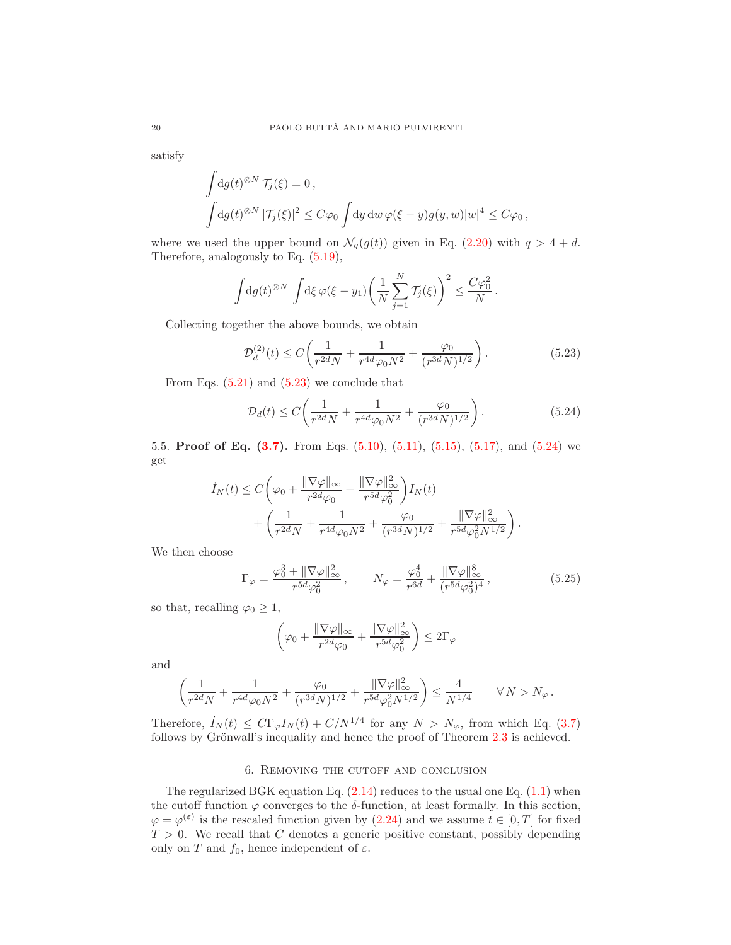satisfy

$$
\int dg(t)^{\otimes N} \mathcal{T}_j(\xi) = 0,
$$
  

$$
\int dg(t)^{\otimes N} |\mathcal{T}_j(\xi)|^2 \le C\varphi_0 \int dy dw \,\varphi(\xi - y)g(y, w)|w|^4 \le C\varphi_0,
$$

where we used the upper bound on  $\mathcal{N}_q(g(t))$  given in Eq. [\(2.20\)](#page-5-4) with  $q > 4 + d$ . Therefore, analogously to Eq. [\(5.19\)](#page-17-1),

$$
\int dg(t)^{\otimes N} \int d\xi \,\varphi(\xi - y_1) \bigg(\frac{1}{N} \sum_{j=1}^N \mathcal{T}_j(\xi)\bigg)^2 \leq \frac{C\varphi_0^2}{N}.
$$

Collecting together the above bounds, we obtain

<span id="page-19-2"></span>
$$
\mathcal{D}_d^{(2)}(t) \le C \left( \frac{1}{r^{2d} N} + \frac{1}{r^{4d} \varphi_0 N^2} + \frac{\varphi_0}{(r^{3d} N)^{1/2}} \right). \tag{5.23}
$$

From Eqs.  $(5.21)$  and  $(5.23)$  we conclude that

<span id="page-19-3"></span>
$$
\mathcal{D}_d(t) \le C \bigg( \frac{1}{r^{2d} N} + \frac{1}{r^{4d} \varphi_0 N^2} + \frac{\varphi_0}{(r^{3d} N)^{1/2}} \bigg) \,. \tag{5.24}
$$

5.5. Proof of Eq. [\(3.7\)](#page-8-2). From Eqs. [\(5.10\)](#page-13-4), [\(5.11\)](#page-14-1), [\(5.15\)](#page-16-0), [\(5.17\)](#page-17-2), and [\(5.24\)](#page-19-3) we get

$$
\begin{split} \dot{I}_N(t) &\leq C \bigg( \varphi_0 + \frac{\|\nabla \varphi\|_{\infty}}{r^{2d} \varphi_0} + \frac{\|\nabla \varphi\|_{\infty}^2}{r^{5d} \varphi_0^2} \bigg) I_N(t) \\ &+ \bigg( \frac{1}{r^{2d}N} + \frac{1}{r^{4d} \varphi_0 N^2} + \frac{\varphi_0}{(r^{3d}N)^{1/2}} + \frac{\|\nabla \varphi\|_{\infty}^2}{r^{5d} \varphi_0^2 N^{1/2}} \bigg) \,. \end{split}
$$

We then choose

<span id="page-19-1"></span>
$$
\Gamma_{\varphi} = \frac{\varphi_0^3 + \|\nabla \varphi\|_{\infty}^2}{r^{5d} \varphi_0^2}, \qquad N_{\varphi} = \frac{\varphi_0^4}{r^{6d}} + \frac{\|\nabla \varphi\|_{\infty}^8}{(r^{5d} \varphi_0^2)^4},
$$
(5.25)

so that, recalling  $\varphi_0 \geq 1$ ,

$$
\left(\varphi_0 + \frac{\|\nabla\varphi\|_{\infty}}{r^{2d}\varphi_0} + \frac{\|\nabla\varphi\|_{\infty}^2}{r^{5d}\varphi_0^2}\right) \leq 2\Gamma_{\varphi}
$$

and

$$
\left( \frac{1}{r^{2d} N} + \frac{1}{r^{4d} \varphi_0 N^2} + \frac{\varphi_0}{(r^{3d} N)^{1/2}} + \frac{\|\nabla \varphi\|_\infty^2}{r^{5d} \varphi_0^2 N^{1/2}} \right) \le \frac{4}{N^{1/4}} \qquad \forall \, N > N_\varphi \, .
$$

Therefore,  $I_N(t) \leq C \Gamma_{\varphi} I_N(t) + C/N^{1/4}$  for any  $N > N_{\varphi}$ , from which Eq. [\(3.7\)](#page-8-2) follows by Grönwall's inequality and hence the proof of Theorem  $2.3$  is achieved.

## 6. Removing the cutoff and conclusion

<span id="page-19-0"></span>The regularized BGK equation Eq.  $(2.14)$  reduces to the usual one Eq.  $(1.1)$  when the cutoff function  $\varphi$  converges to the  $\delta$ -function, at least formally. In this section,  $\varphi = \varphi^{(\varepsilon)}$  is the rescaled function given by [\(2.24\)](#page-6-2) and we assume  $t \in [0, T]$  for fixed  $T > 0$ . We recall that C denotes a generic positive constant, possibly depending only on T and  $f_0$ , hence independent of  $\varepsilon$ .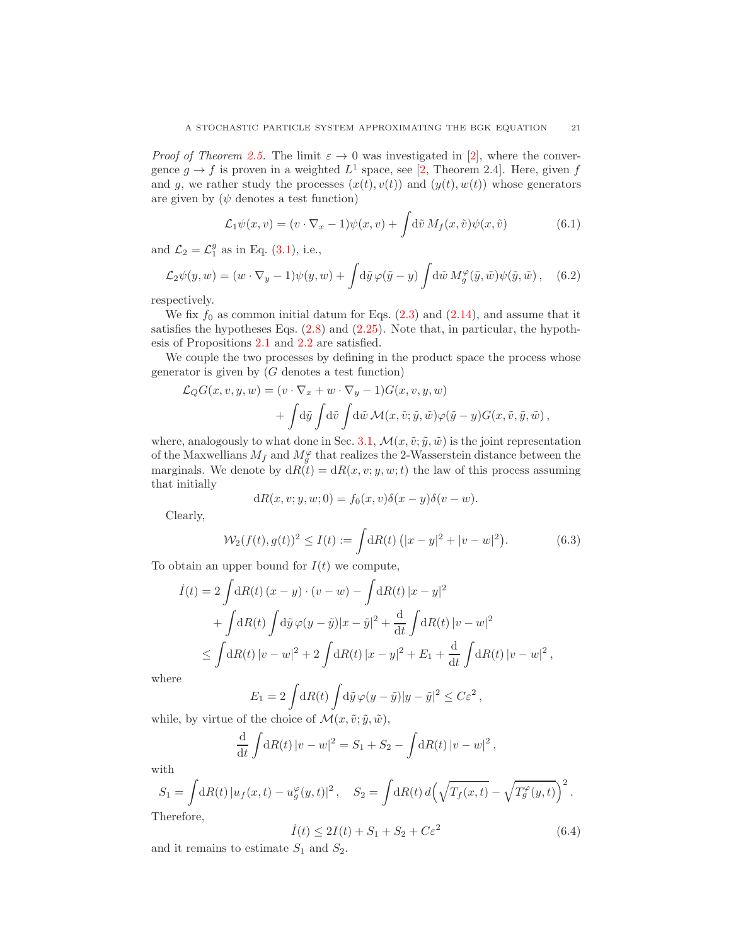*Proof of Theorem [2.5.](#page-6-3)* The limit  $\varepsilon \to 0$  was investigated in [\[2\]](#page-24-0), where the convergence  $g \to f$  is proven in a weighted  $L^1$  space, see [\[2,](#page-24-0) Theorem 2.4]. Here, given f and g, we rather study the processes  $(x(t), v(t))$  and  $(y(t), w(t))$  whose generators are given by  $(\psi \text{ denotes a test function})$ 

$$
\mathcal{L}_1 \psi(x, v) = (v \cdot \nabla_x - 1)\psi(x, v) + \int d\tilde{v} M_f(x, \tilde{v})\psi(x, \tilde{v})
$$
(6.1)

and  $\mathcal{L}_2 = \mathcal{L}_1^g$  as in Eq. [\(3.1\)](#page-7-2), i.e.,

$$
\mathcal{L}_2\psi(y,w) = (w \cdot \nabla_y - 1)\psi(y,w) + \int d\tilde{y} \,\varphi(\tilde{y} - y) \int d\tilde{w} \, M_g^{\varphi}(\tilde{y},\tilde{w})\psi(\tilde{y},\tilde{w}), \quad (6.2)
$$

respectively.

We fix  $f_0$  as common initial datum for Eqs.  $(2.3)$  and  $(2.14)$ , and assume that it satisfies the hypotheses Eqs. [\(2.8\)](#page-3-3) and [\(2.25\)](#page-6-5). Note that, in particular, the hypothesis of Propositions [2.1](#page-4-3) and [2.2](#page-5-1) are satisfied.

We couple the two processes by defining in the product space the process whose generator is given by  $(G \text{ denotes a test function})$ 

$$
\mathcal{L}_Q G(x, v, y, w) = (v \cdot \nabla_x + w \cdot \nabla_y - 1) G(x, v, y, w) \n+ \int d\tilde{y} \int d\tilde{v} \int d\tilde{w} \mathcal{M}(x, \tilde{v}; \tilde{y}, \tilde{w}) \varphi(\tilde{y} - y) G(x, \tilde{v}, \tilde{y}, \tilde{w}),
$$

where, analogously to what done in Sec. [3.1,](#page-7-3)  $\mathcal{M}(x, \tilde{v}; \tilde{y}, \tilde{w})$  is the joint representation of the Maxwellians  $M_f$  and  $M_g^{\varphi}$  that realizes the 2-Wasserstein distance between the marginals. We denote by  $dR(t) = dR(x, v; y, w; t)$  the law of this process assuming that initially

$$
dR(x, v; y, w; 0) = f_0(x, v)\delta(x - y)\delta(v - w).
$$

Clearly,

<span id="page-20-0"></span>
$$
\mathcal{W}_2(f(t), g(t))^2 \le I(t) := \int dR(t) \left( |x - y|^2 + |v - w|^2 \right). \tag{6.3}
$$

To obtain an upper bound for  $I(t)$  we compute,

$$
\dot{I}(t) = 2 \int dR(t) (x - y) \cdot (v - w) - \int dR(t) |x - y|^2
$$
  
+ 
$$
\int dR(t) \int d\tilde{y} \varphi(y - \tilde{y}) |x - \tilde{y}|^2 + \frac{d}{dt} \int dR(t) |v - w|^2
$$
  

$$
\leq \int dR(t) |v - w|^2 + 2 \int dR(t) |x - y|^2 + E_1 + \frac{d}{dt} \int dR(t) |v - w|^2,
$$

where

$$
E_1 = 2 \int dR(t) \int d\tilde{y} \,\varphi(y - \tilde{y}) |y - \tilde{y}|^2 \leq C \varepsilon^2,
$$

while, by virtue of the choice of  $\mathcal{M}(x, \tilde{v}; \tilde{y}, \tilde{w})$ ,

$$
\frac{\mathrm{d}}{\mathrm{d}t} \int \mathrm{d}R(t) \, |v - w|^2 = S_1 + S_2 - \int \mathrm{d}R(t) \, |v - w|^2 \, ,
$$

with

$$
S_1 = \int dR(t) |u_f(x, t) - u_g^{\varphi}(y, t)|^2, \quad S_2 = \int dR(t) d(\sqrt{T_f(x, t)} - \sqrt{T_g^{\varphi}(y, t)})^2.
$$
  
Therefore,

<span id="page-20-1"></span> $\dot{I}(t) \leq 2I(t) + S_1 + S_2 + C\varepsilon^2$ (6.4)

and it remains to estimate  $S_1$  and  $S_2$ .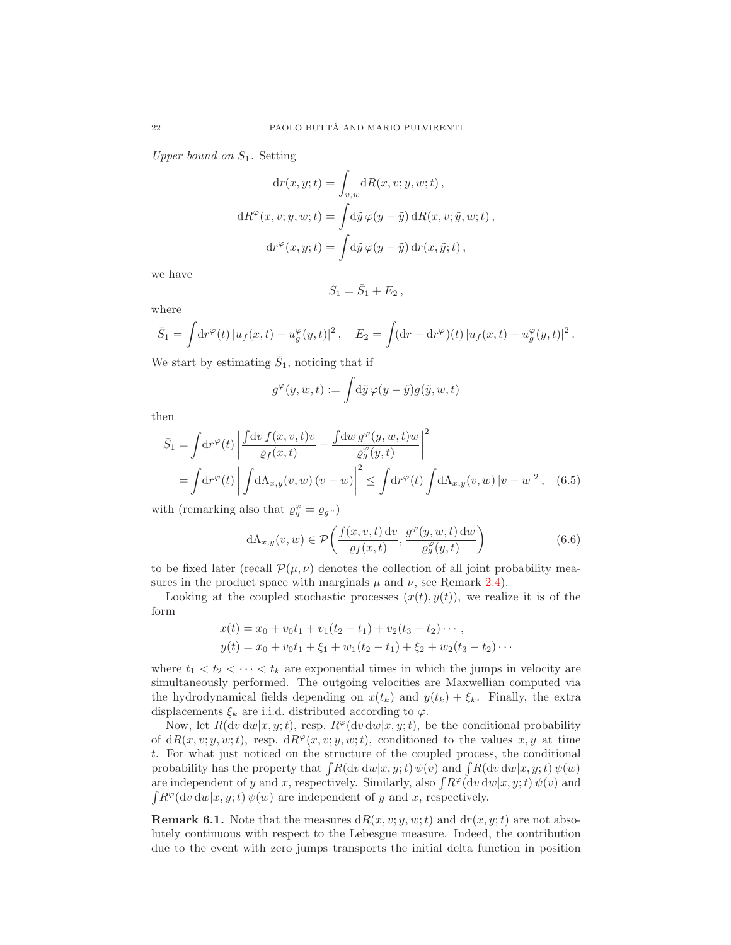Upper bound on  $S_1$ . Setting

$$
dr(x, y; t) = \int_{v,w} dR(x, v; y, w; t),
$$

$$
dR^{\varphi}(x, v; y, w; t) = \int d\tilde{y} \varphi(y - \tilde{y}) dR(x, v; \tilde{y}, w; t),
$$

$$
dr^{\varphi}(x, y; t) = \int d\tilde{y} \varphi(y - \tilde{y}) dr(x, \tilde{y}; t),
$$

we have

<span id="page-21-0"></span>
$$
S_1=\bar{S}_1+E_2,
$$

where

$$
\bar{S}_1 = \int \! \mathrm{d}r \varphi(t) \, |u_f(x,t) - u_g^{\varphi}(y,t)|^2 \,, \quad E_2 = \int \! (\mathrm{d}r - \mathrm{d}r^{\varphi})(t) \, |u_f(x,t) - u_g^{\varphi}(y,t)|^2 \,.
$$

We start by estimating  $\bar{S}_1$ , noticing that if

$$
g^{\varphi}(y, w, t) := \int d\tilde{y} \, \varphi(y - \tilde{y}) g(\tilde{y}, w, t)
$$

then

$$
\bar{S}_1 = \int \mathrm{d}r^{\varphi}(t) \left| \frac{\int \mathrm{d}v f(x, v, t)v}{\varrho_f(x, t)} - \frac{\int \mathrm{d}w g^{\varphi}(y, w, t)w}{\varrho_g^{\varphi}(y, t)} \right|^2
$$
\n
$$
= \int \mathrm{d}r^{\varphi}(t) \left| \int \mathrm{d}\Lambda_{x, y}(v, w) (v - w) \right|^2 \le \int \mathrm{d}r^{\varphi}(t) \int \mathrm{d}\Lambda_{x, y}(v, w) |v - w|^2, \quad (6.5)
$$

with (remarking also that  $\varrho_g^{\varphi} = \varrho_{g\varphi}$ )

<span id="page-21-1"></span>
$$
d\Lambda_{x,y}(v,w) \in \mathcal{P}\left(\frac{f(x,v,t) dv}{\varrho_f(x,t)}, \frac{g^{\varphi}(y,w,t) dw}{\varrho_g^{\varphi}(y,t)}\right)
$$
(6.6)

to be fixed later (recall  $\mathcal{P}(\mu, \nu)$  denotes the collection of all joint probability measures in the product space with marginals  $\mu$  and  $\nu$ , see Remark [2.4\)](#page-6-1).

Looking at the coupled stochastic processes  $(x(t), y(t))$ , we realize it is of the form

$$
x(t) = x_0 + v_0t_1 + v_1(t_2 - t_1) + v_2(t_3 - t_2) \cdots,
$$
  
\n
$$
y(t) = x_0 + v_0t_1 + \xi_1 + w_1(t_2 - t_1) + \xi_2 + w_2(t_3 - t_2) \cdots
$$

where  $t_1 < t_2 < \cdots < t_k$  are exponential times in which the jumps in velocity are simultaneously performed. The outgoing velocities are Maxwellian computed via the hydrodynamical fields depending on  $x(t_k)$  and  $y(t_k) + \xi_k$ . Finally, the extra displacements  $\xi_k$  are i.i.d. distributed according to  $\varphi$ .

Now, let  $R(dv dw|x, y; t)$ , resp.  $R^{\varphi}(dv dw|x, y; t)$ , be the conditional probability of  $dR(x, v; y, w; t)$ , resp.  $dR^{\varphi}(x, v; y, w; t)$ , conditioned to the values x, y at time t. For what just noticed on the structure of the coupled process, the conditional probability has the property that  $\int R(\mathrm{d}v \, \mathrm{d}w | x, y; t) \psi(v)$  and  $\int R(\mathrm{d}v \, \mathrm{d}w | x, y; t) \psi(w)$ are independent of y and x, respectively. Similarly, also  $\int R^{\varphi} (dv dw | x, y; t) \psi(v)$  and  $\int R^{\varphi}(\mathrm{d}v \, \mathrm{d}w | x, y; t) \, \psi(w)$  are independent of y and x, respectively.

**Remark 6.1.** Note that the measures  $dR(x, v; y, w; t)$  and  $dr(x, y; t)$  are not absolutely continuous with respect to the Lebesgue measure. Indeed, the contribution due to the event with zero jumps transports the initial delta function in position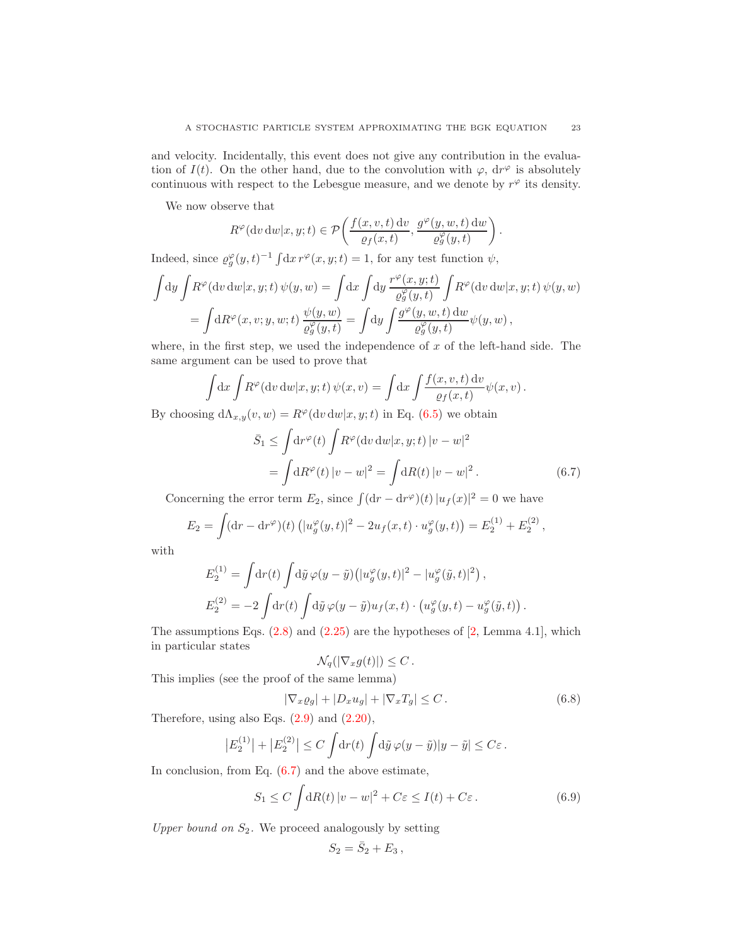and velocity. Incidentally, this event does not give any contribution in the evaluation of  $I(t)$ . On the other hand, due to the convolution with  $\varphi$ ,  $dr^{\varphi}$  is absolutely continuous with respect to the Lebesgue measure, and we denote by  $r^{\varphi}$  its density.

We now observe that

$$
R^{\varphi}(\mathrm{d} v \, \mathrm{d} w | x, y; t) \in \mathcal{P}\left(\frac{f(x, v, t) \, \mathrm{d} v}{\varrho_f(x, t)}, \frac{g^{\varphi}(y, w, t) \, \mathrm{d} w}{\varrho^{\varphi}_g(y, t)}\right)
$$

Indeed, since  $\varrho_g^{\varphi}(y,t)^{-1} \int dx r^{\varphi}(x,y;t) = 1$ , for any test function  $\psi$ ,

$$
\int dy \int R^{\varphi} (dv \, dw | x, y; t) \, \psi(y, w) = \int dx \int dy \frac{r^{\varphi}(x, y; t)}{\varrho_g^{\varphi}(y, t)} \int R^{\varphi}(dv \, dw | x, y; t) \, \psi(y, w)
$$

$$
= \int dR^{\varphi}(x, v; y, w; t) \frac{\psi(y, w)}{\varrho_g^{\varphi}(y, t)} = \int dy \int \frac{g^{\varphi}(y, w, t) \, dw}{\varrho_g^{\varphi}(y, t)} \psi(y, w),
$$

where, in the first step, we used the independence of  $x$  of the left-hand side. The same argument can be used to prove that

$$
\int dx \int R^{\varphi}(\mathrm{d}v \, \mathrm{d}w | x, y; t) \, \psi(x, v) = \int \mathrm{d}x \int \frac{f(x, v, t) \, \mathrm{d}v}{\varrho_f(x, t)} \psi(x, v) \, .
$$

By choosing  $d\Lambda_{x,y}(v, w) = R^{\varphi}(dv dw|x, y; t)$  in Eq. [\(6.5\)](#page-21-0) we obtain

$$
\bar{S}_1 \le \int \mathrm{d}r^{\varphi}(t) \int R^{\varphi}(\mathrm{d}v \, \mathrm{d}w | x, y; t) |v - w|^2
$$

$$
= \int \mathrm{d}R^{\varphi}(t) |v - w|^2 = \int \mathrm{d}R(t) |v - w|^2. \tag{6.7}
$$

Concerning the error term  $E_2$ , since  $\int (dr - dr^{\varphi})(t) |u_f(x)|^2 = 0$  we have

$$
E_2 = \int (dr - dr^{\varphi})(t) (|u_g^{\varphi}(y, t)|^2 - 2u_f(x, t) \cdot u_g^{\varphi}(y, t)) = E_2^{(1)} + E_2^{(2)},
$$

with

$$
E_2^{(1)} = \int \mathrm{d}r(t) \int \mathrm{d}\tilde{y} \,\varphi(y-\tilde{y}) \left( |u_g^{\varphi}(y,t)|^2 - |u_g^{\varphi}(\tilde{y},t)|^2 \right),
$$
  

$$
E_2^{(2)} = -2 \int \mathrm{d}r(t) \int \mathrm{d}\tilde{y} \,\varphi(y-\tilde{y}) u_f(x,t) \cdot \left( u_g^{\varphi}(y,t) - u_g^{\varphi}(\tilde{y},t) \right).
$$

The assumptions Eqs.  $(2.8)$  and  $(2.25)$  are the hypotheses of  $[2, \text{Lemma } 4.1]$ , which in particular states

$$
\mathcal{N}_q(|\nabla_x g(t)|) \leq C.
$$

This implies (see the proof of the same lemma)

<span id="page-22-1"></span>
$$
|\nabla_x \varrho_g| + |D_x u_g| + |\nabla_x T_g| \le C. \tag{6.8}
$$

Therefore, using also Eqs. [\(2.9\)](#page-4-5) and [\(2.20\)](#page-5-4),

$$
\left|E_2^{(1)}\right|+\left|E_2^{(2)}\right|\leq C\int\!\mathrm{d} r(t)\int\!\mathrm{d}\tilde{y}\,\varphi(y-\tilde{y})|y-\tilde{y}|\leq C\varepsilon\,.
$$

In conclusion, from Eq.  $(6.7)$  and the above estimate,

<span id="page-22-2"></span>
$$
S_1 \le C \int dR(t) |v - w|^2 + C\varepsilon \le I(t) + C\varepsilon. \tag{6.9}
$$

Upper bound on  $S_2$ . We proceed analogously by setting

$$
S_2=\bar{S}_2+E_3,
$$

<span id="page-22-0"></span>.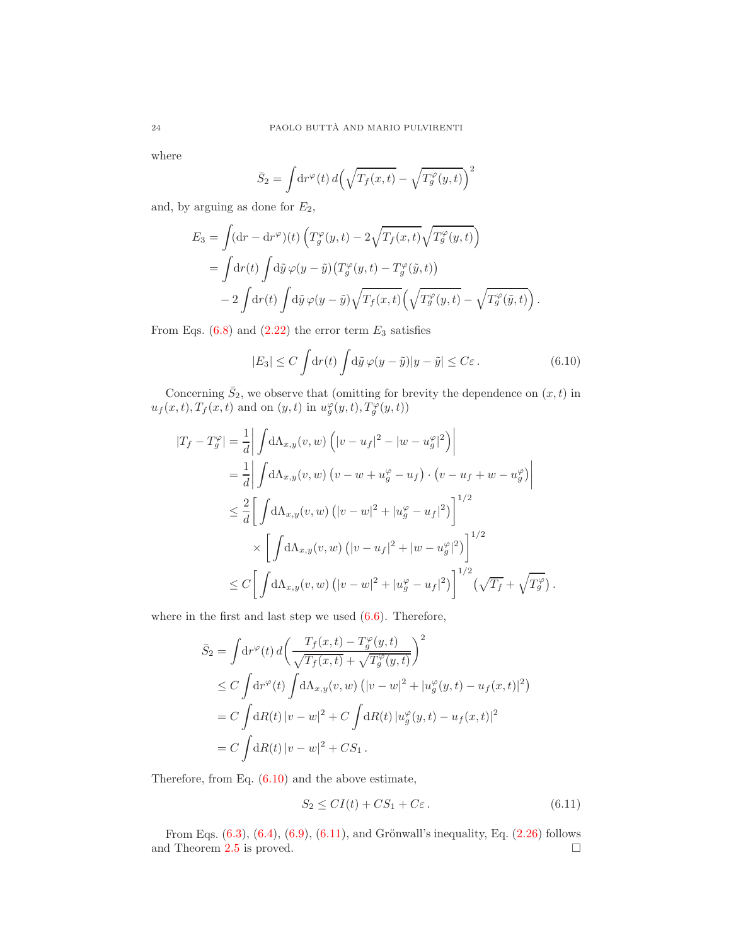where

$$
\bar{S}_2 = \int \! \mathrm{d}r \varphi(t) \, d\! \left( \sqrt{T_f(x,t)} - \sqrt{T_g^{\varphi}(y,t)} \right)^2
$$

and, by arguing as done for  $E_2$ ,

$$
E_3 = \int (\mathrm{d}r - \mathrm{d}r^{\varphi})(t) \left( T_g^{\varphi}(y, t) - 2\sqrt{T_f(x, t)} \sqrt{T_g^{\varphi}(y, t)} \right)
$$
  
= 
$$
\int \mathrm{d}r(t) \int \mathrm{d}\tilde{y} \varphi(y - \tilde{y}) \left( T_g^{\varphi}(y, t) - T_g^{\varphi}(\tilde{y}, t) \right)
$$
  
- 
$$
2 \int \mathrm{d}r(t) \int \mathrm{d}\tilde{y} \varphi(y - \tilde{y}) \sqrt{T_f(x, t)} \left( \sqrt{T_g^{\varphi}(y, t)} - \sqrt{T_g^{\varphi}(\tilde{y}, t)} \right).
$$

From Eqs.  $(6.8)$  and  $(2.22)$  the error term  $E_3$  satisfies

<span id="page-23-0"></span>
$$
|E_3| \le C \int \mathrm{d}r(t) \int \mathrm{d}\tilde{y} \,\varphi(y-\tilde{y})|y-\tilde{y}| \le C\varepsilon. \tag{6.10}
$$

Concerning  $\bar{S}_2$ , we observe that (omitting for brevity the dependence on  $(x, t)$  in  $u_f(x,t), T_f(x,t)$  and on  $(y,t)$  in  $u_g^{\varphi}(y,t), T_g^{\varphi}(y,t))$ 

$$
\begin{split} |T_f - T_g^{\varphi}| &= \frac{1}{d} \left| \int \mathrm{d}\Lambda_{x,y}(v,w) \left( |v - u_f|^2 - |w - u_g^{\varphi}|^2 \right) \right| \\ &= \frac{1}{d} \left| \int \mathrm{d}\Lambda_{x,y}(v,w) \left( v - w + u_g^{\varphi} - u_f \right) \cdot \left( v - u_f + w - u_g^{\varphi} \right) \right| \\ &\leq \frac{2}{d} \left[ \int \mathrm{d}\Lambda_{x,y}(v,w) \left( |v - w|^2 + |u_g^{\varphi} - u_f|^2 \right) \right]^{1/2} \\ &\times \left[ \int \mathrm{d}\Lambda_{x,y}(v,w) \left( |v - u_f|^2 + |w - u_g^{\varphi}|^2 \right) \right]^{1/2} \\ &\leq C \left[ \int \mathrm{d}\Lambda_{x,y}(v,w) \left( |v - w|^2 + |u_g^{\varphi} - u_f|^2 \right) \right]^{1/2} \left( \sqrt{T_f} + \sqrt{T_g^{\varphi}} \right). \end{split}
$$

where in the first and last step we used  $(6.6)$ . Therefore,

$$
\bar{S}_2 = \int \mathrm{d}r^{\varphi}(t) d\left(\frac{T_f(x,t) - T_g^{\varphi}(y,t)}{\sqrt{T_f(x,t)} + \sqrt{T_g^{\varphi}(y,t)}}\right)^2
$$
\n
$$
\leq C \int \mathrm{d}r^{\varphi}(t) \int \mathrm{d}\Lambda_{x,y}(v,w) \left( |v-w|^2 + |u_g^{\varphi}(y,t) - u_f(x,t)|^2 \right)
$$
\n
$$
= C \int \mathrm{d}R(t) |v-w|^2 + C \int \mathrm{d}R(t) |u_g^{\varphi}(y,t) - u_f(x,t)|^2
$$
\n
$$
= C \int \mathrm{d}R(t) |v-w|^2 + CS_1.
$$

Therefore, from Eq.  $(6.10)$  and the above estimate,

<span id="page-23-1"></span>
$$
S_2 \le CI(t) + CS_1 + C\varepsilon. \tag{6.11}
$$

From Eqs.  $(6.3)$ ,  $(6.4)$ ,  $(6.9)$ ,  $(6.11)$ , and Grönwall's inequality, Eq.  $(2.26)$  follows and Theorem [2.5](#page-6-3) is proved.  $\square$